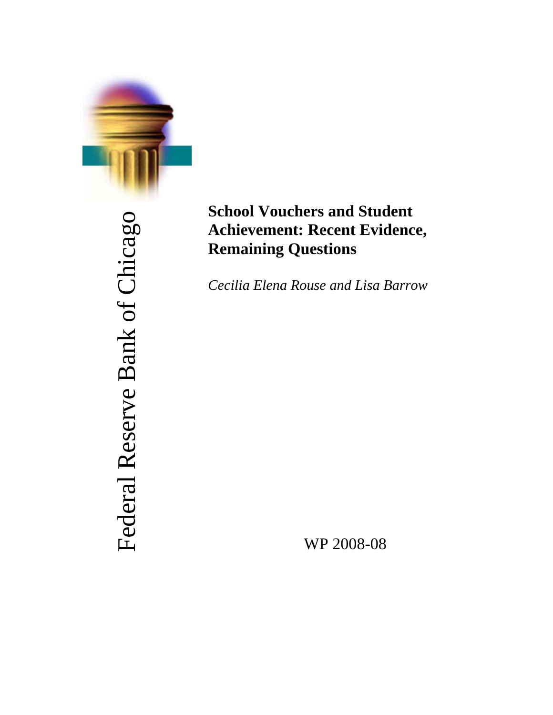

# Federal Reserve Bank of Chicago Federal Reserve Bank of Chicago

# **School Vouchers and Student Achievement: Recent Evidence, Remaining Questions**

*Cecilia Elena Rouse and Lisa Barrow* 

WP 2008-08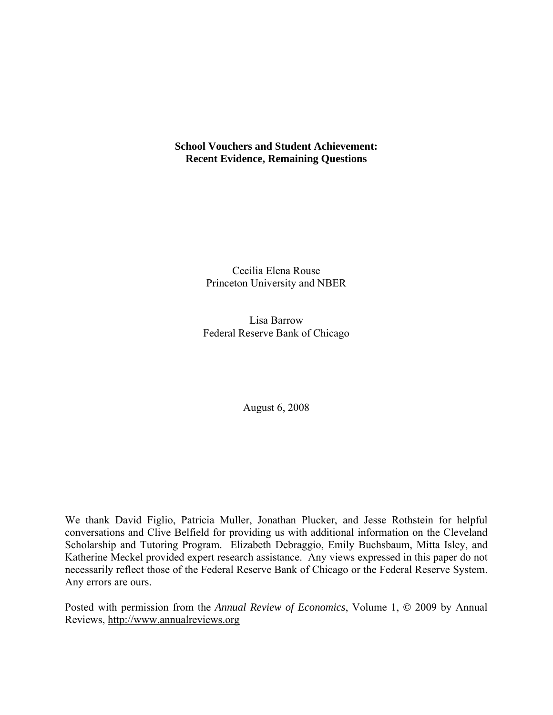**School Vouchers and Student Achievement: Recent Evidence, Remaining Questions**

> Cecilia Elena Rouse Princeton University and NBER

Lisa Barrow Federal Reserve Bank of Chicago

August 6, 2008

We thank David Figlio, Patricia Muller, Jonathan Plucker, and Jesse Rothstein for helpful conversations and Clive Belfield for providing us with additional information on the Cleveland Scholarship and Tutoring Program. Elizabeth Debraggio, Emily Buchsbaum, Mitta Isley, and Katherine Meckel provided expert research assistance. Any views expressed in this paper do not necessarily reflect those of the Federal Reserve Bank of Chicago or the Federal Reserve System. Any errors are ours.

Posted with permission from the *Annual Review of Economics*, Volume 1, **©** 2009 by Annual Reviews, http://www.annualreviews.org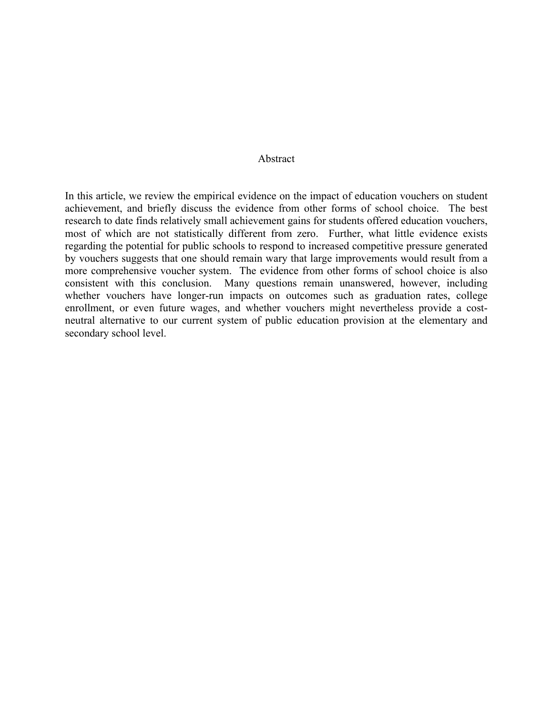# Abstract

In this article, we review the empirical evidence on the impact of education vouchers on student achievement, and briefly discuss the evidence from other forms of school choice. The best research to date finds relatively small achievement gains for students offered education vouchers, most of which are not statistically different from zero. Further, what little evidence exists regarding the potential for public schools to respond to increased competitive pressure generated by vouchers suggests that one should remain wary that large improvements would result from a more comprehensive voucher system. The evidence from other forms of school choice is also consistent with this conclusion. Many questions remain unanswered, however, including whether vouchers have longer-run impacts on outcomes such as graduation rates, college enrollment, or even future wages, and whether vouchers might nevertheless provide a costneutral alternative to our current system of public education provision at the elementary and secondary school level.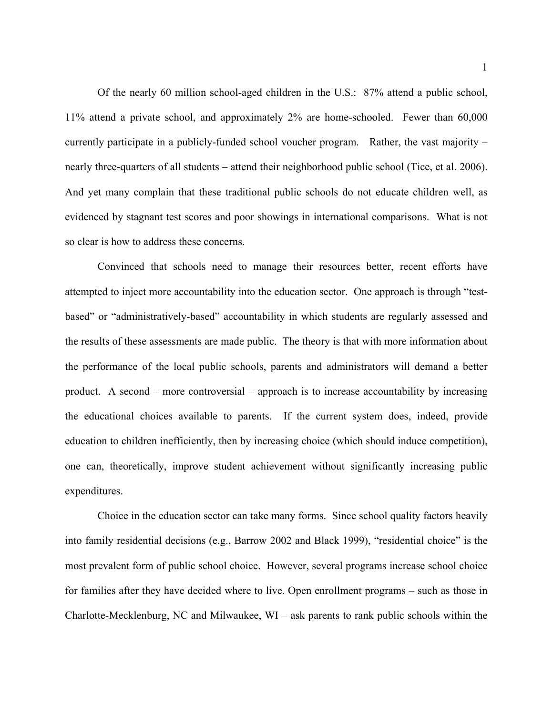Of the nearly 60 million school-aged children in the U.S.: 87% attend a public school, 11% attend a private school, and approximately 2% are home-schooled. Fewer than 60,000 currently participate in a publicly-funded school voucher program. Rather, the vast majority – nearly three-quarters of all students – attend their neighborhood public school (Tice, et al. 2006). And yet many complain that these traditional public schools do not educate children well, as evidenced by stagnant test scores and poor showings in international comparisons. What is not so clear is how to address these concerns.

Convinced that schools need to manage their resources better, recent efforts have attempted to inject more accountability into the education sector. One approach is through "testbased" or "administratively-based" accountability in which students are regularly assessed and the results of these assessments are made public. The theory is that with more information about the performance of the local public schools, parents and administrators will demand a better product. A second – more controversial – approach is to increase accountability by increasing the educational choices available to parents. If the current system does, indeed, provide education to children inefficiently, then by increasing choice (which should induce competition), one can, theoretically, improve student achievement without significantly increasing public expenditures.

Choice in the education sector can take many forms. Since school quality factors heavily into family residential decisions (e.g., Barrow 2002 and Black 1999), "residential choice" is the most prevalent form of public school choice. However, several programs increase school choice for families after they have decided where to live. Open enrollment programs – such as those in Charlotte-Mecklenburg, NC and Milwaukee, WI – ask parents to rank public schools within the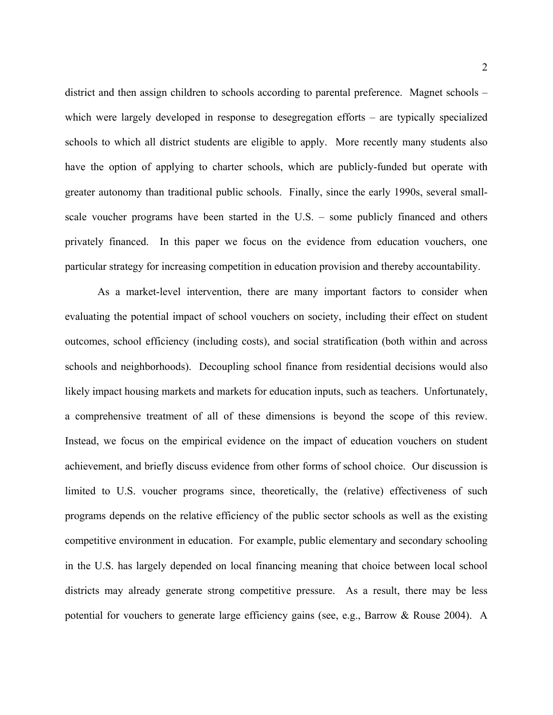district and then assign children to schools according to parental preference. Magnet schools – which were largely developed in response to desegregation efforts – are typically specialized schools to which all district students are eligible to apply. More recently many students also have the option of applying to charter schools, which are publicly-funded but operate with greater autonomy than traditional public schools. Finally, since the early 1990s, several smallscale voucher programs have been started in the U.S. – some publicly financed and others privately financed. In this paper we focus on the evidence from education vouchers, one particular strategy for increasing competition in education provision and thereby accountability.

As a market-level intervention, there are many important factors to consider when evaluating the potential impact of school vouchers on society, including their effect on student outcomes, school efficiency (including costs), and social stratification (both within and across schools and neighborhoods). Decoupling school finance from residential decisions would also likely impact housing markets and markets for education inputs, such as teachers. Unfortunately, a comprehensive treatment of all of these dimensions is beyond the scope of this review. Instead, we focus on the empirical evidence on the impact of education vouchers on student achievement, and briefly discuss evidence from other forms of school choice. Our discussion is limited to U.S. voucher programs since, theoretically, the (relative) effectiveness of such programs depends on the relative efficiency of the public sector schools as well as the existing competitive environment in education. For example, public elementary and secondary schooling in the U.S. has largely depended on local financing meaning that choice between local school districts may already generate strong competitive pressure. As a result, there may be less potential for vouchers to generate large efficiency gains (see, e.g., Barrow & Rouse 2004). A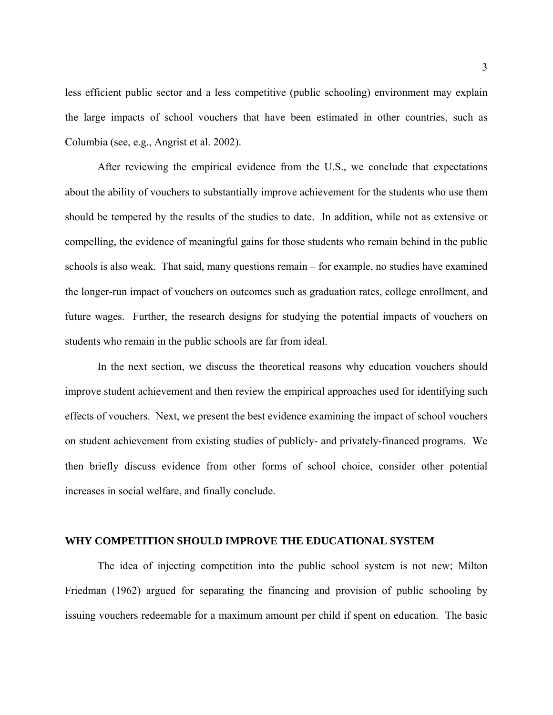less efficient public sector and a less competitive (public schooling) environment may explain the large impacts of school vouchers that have been estimated in other countries, such as Columbia (see, e.g., Angrist et al. 2002).

After reviewing the empirical evidence from the U.S., we conclude that expectations about the ability of vouchers to substantially improve achievement for the students who use them should be tempered by the results of the studies to date. In addition, while not as extensive or compelling, the evidence of meaningful gains for those students who remain behind in the public schools is also weak. That said, many questions remain – for example, no studies have examined the longer-run impact of vouchers on outcomes such as graduation rates, college enrollment, and future wages. Further, the research designs for studying the potential impacts of vouchers on students who remain in the public schools are far from ideal.

In the next section, we discuss the theoretical reasons why education vouchers should improve student achievement and then review the empirical approaches used for identifying such effects of vouchers. Next, we present the best evidence examining the impact of school vouchers on student achievement from existing studies of publicly- and privately-financed programs. We then briefly discuss evidence from other forms of school choice, consider other potential increases in social welfare, and finally conclude.

### **WHY COMPETITION SHOULD IMPROVE THE EDUCATIONAL SYSTEM**

The idea of injecting competition into the public school system is not new; Milton Friedman (1962) argued for separating the financing and provision of public schooling by issuing vouchers redeemable for a maximum amount per child if spent on education. The basic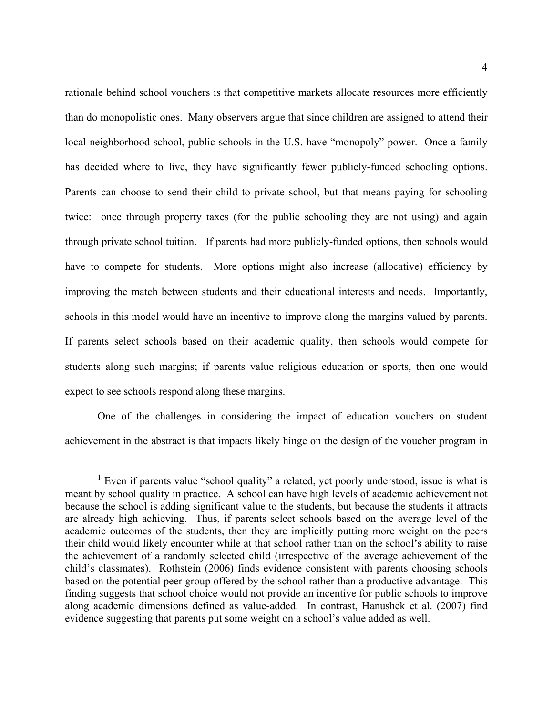rationale behind school vouchers is that competitive markets allocate resources more efficiently than do monopolistic ones. Many observers argue that since children are assigned to attend their local neighborhood school, public schools in the U.S. have "monopoly" power. Once a family has decided where to live, they have significantly fewer publicly-funded schooling options. Parents can choose to send their child to private school, but that means paying for schooling twice: once through property taxes (for the public schooling they are not using) and again through private school tuition. If parents had more publicly-funded options, then schools would have to compete for students. More options might also increase (allocative) efficiency by improving the match between students and their educational interests and needs. Importantly, schools in this model would have an incentive to improve along the margins valued by parents. If parents select schools based on their academic quality, then schools would compete for students along such margins; if parents value religious education or sports, then one would expect to see schools respond along these margins.<sup>1</sup>

One of the challenges in considering the impact of education vouchers on student achievement in the abstract is that impacts likely hinge on the design of the voucher program in

1

<sup>&</sup>lt;sup>1</sup> Even if parents value "school quality" a related, yet poorly understood, issue is what is meant by school quality in practice. A school can have high levels of academic achievement not because the school is adding significant value to the students, but because the students it attracts are already high achieving. Thus, if parents select schools based on the average level of the academic outcomes of the students, then they are implicitly putting more weight on the peers their child would likely encounter while at that school rather than on the school's ability to raise the achievement of a randomly selected child (irrespective of the average achievement of the child's classmates). Rothstein (2006) finds evidence consistent with parents choosing schools based on the potential peer group offered by the school rather than a productive advantage. This finding suggests that school choice would not provide an incentive for public schools to improve along academic dimensions defined as value-added. In contrast, Hanushek et al. (2007) find evidence suggesting that parents put some weight on a school's value added as well.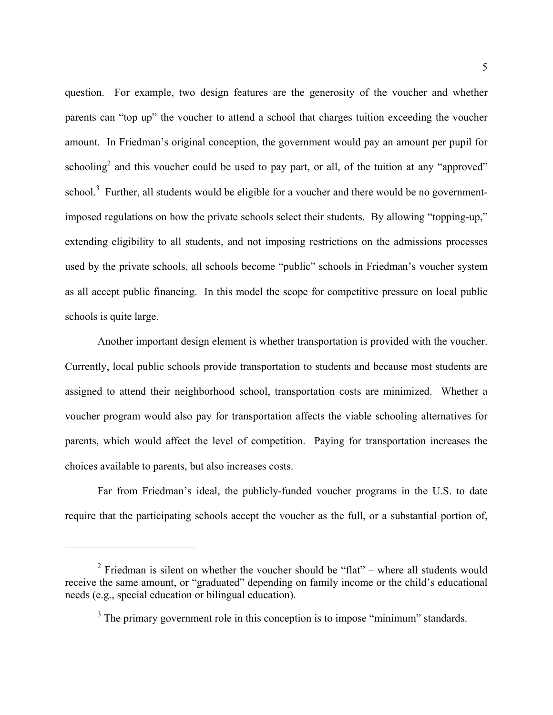question. For example, two design features are the generosity of the voucher and whether parents can "top up" the voucher to attend a school that charges tuition exceeding the voucher amount. In Friedman's original conception, the government would pay an amount per pupil for schooling<sup>2</sup> and this voucher could be used to pay part, or all, of the tuition at any "approved" school.<sup>3</sup> Further, all students would be eligible for a voucher and there would be no governmentimposed regulations on how the private schools select their students. By allowing "topping-up," extending eligibility to all students, and not imposing restrictions on the admissions processes used by the private schools, all schools become "public" schools in Friedman's voucher system as all accept public financing. In this model the scope for competitive pressure on local public schools is quite large.

Another important design element is whether transportation is provided with the voucher. Currently, local public schools provide transportation to students and because most students are assigned to attend their neighborhood school, transportation costs are minimized. Whether a voucher program would also pay for transportation affects the viable schooling alternatives for parents, which would affect the level of competition. Paying for transportation increases the choices available to parents, but also increases costs.

Far from Friedman's ideal, the publicly-funded voucher programs in the U.S. to date require that the participating schools accept the voucher as the full, or a substantial portion of,

 $2$  Friedman is silent on whether the voucher should be "flat" – where all students would receive the same amount, or "graduated" depending on family income or the child's educational needs (e.g., special education or bilingual education).

 $3$  The primary government role in this conception is to impose "minimum" standards.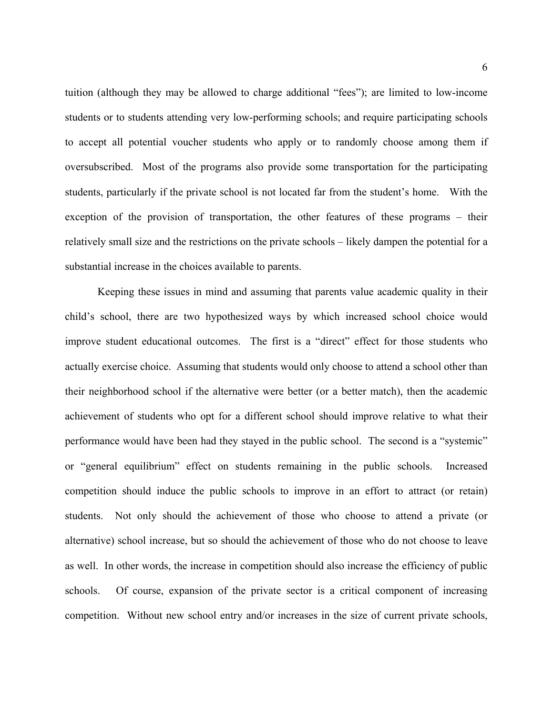tuition (although they may be allowed to charge additional "fees"); are limited to low-income students or to students attending very low-performing schools; and require participating schools to accept all potential voucher students who apply or to randomly choose among them if oversubscribed. Most of the programs also provide some transportation for the participating students, particularly if the private school is not located far from the student's home. With the exception of the provision of transportation, the other features of these programs – their relatively small size and the restrictions on the private schools – likely dampen the potential for a substantial increase in the choices available to parents.

Keeping these issues in mind and assuming that parents value academic quality in their child's school, there are two hypothesized ways by which increased school choice would improve student educational outcomes. The first is a "direct" effect for those students who actually exercise choice. Assuming that students would only choose to attend a school other than their neighborhood school if the alternative were better (or a better match), then the academic achievement of students who opt for a different school should improve relative to what their performance would have been had they stayed in the public school. The second is a "systemic" or "general equilibrium" effect on students remaining in the public schools. Increased competition should induce the public schools to improve in an effort to attract (or retain) students. Not only should the achievement of those who choose to attend a private (or alternative) school increase, but so should the achievement of those who do not choose to leave as well. In other words, the increase in competition should also increase the efficiency of public schools. Of course, expansion of the private sector is a critical component of increasing competition. Without new school entry and/or increases in the size of current private schools,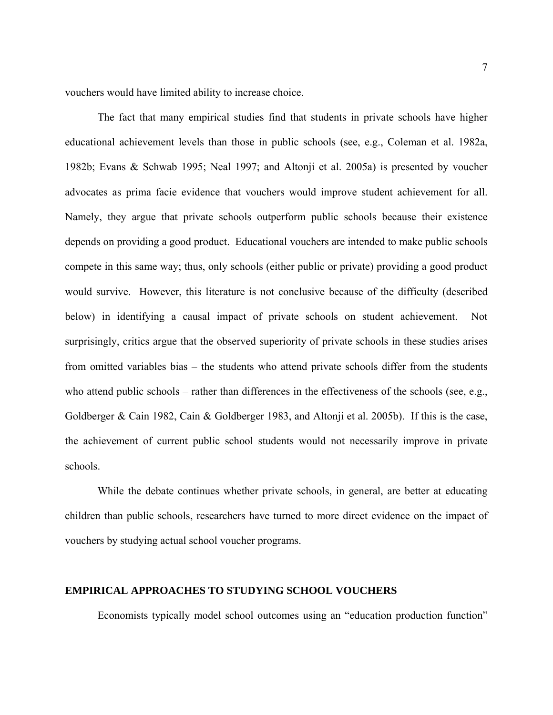vouchers would have limited ability to increase choice.

The fact that many empirical studies find that students in private schools have higher educational achievement levels than those in public schools (see, e.g., Coleman et al. 1982a, 1982b; Evans & Schwab 1995; Neal 1997; and Altonji et al. 2005a) is presented by voucher advocates as prima facie evidence that vouchers would improve student achievement for all. Namely, they argue that private schools outperform public schools because their existence depends on providing a good product. Educational vouchers are intended to make public schools compete in this same way; thus, only schools (either public or private) providing a good product would survive. However, this literature is not conclusive because of the difficulty (described below) in identifying a causal impact of private schools on student achievement. Not surprisingly, critics argue that the observed superiority of private schools in these studies arises from omitted variables bias – the students who attend private schools differ from the students who attend public schools – rather than differences in the effectiveness of the schools (see, e.g., Goldberger & Cain 1982, Cain & Goldberger 1983, and Altonji et al. 2005b). If this is the case, the achievement of current public school students would not necessarily improve in private schools.

While the debate continues whether private schools, in general, are better at educating children than public schools, researchers have turned to more direct evidence on the impact of vouchers by studying actual school voucher programs.

## **EMPIRICAL APPROACHES TO STUDYING SCHOOL VOUCHERS**

Economists typically model school outcomes using an "education production function"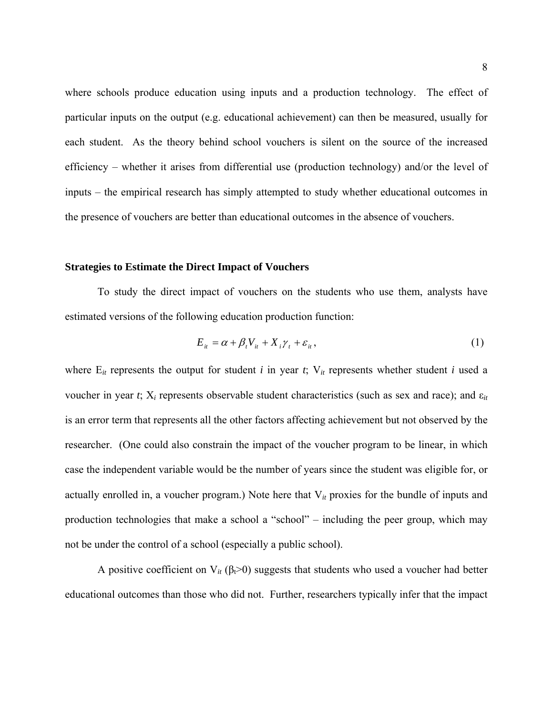where schools produce education using inputs and a production technology. The effect of particular inputs on the output (e.g. educational achievement) can then be measured, usually for each student. As the theory behind school vouchers is silent on the source of the increased efficiency – whether it arises from differential use (production technology) and/or the level of inputs – the empirical research has simply attempted to study whether educational outcomes in the presence of vouchers are better than educational outcomes in the absence of vouchers.

### **Strategies to Estimate the Direct Impact of Vouchers**

To study the direct impact of vouchers on the students who use them, analysts have estimated versions of the following education production function:

$$
E_{it} = \alpha + \beta_t V_{it} + X_i \gamma_t + \varepsilon_{it}, \qquad (1)
$$

where  $E_{it}$  represents the output for student *i* in year *t*;  $V_{it}$  represents whether student *i* used a voucher in year *t*;  $X_i$  represents observable student characteristics (such as sex and race); and  $\varepsilon_{it}$ is an error term that represents all the other factors affecting achievement but not observed by the researcher. (One could also constrain the impact of the voucher program to be linear, in which case the independent variable would be the number of years since the student was eligible for, or actually enrolled in, a voucher program.) Note here that V*it* proxies for the bundle of inputs and production technologies that make a school a "school" – including the peer group, which may not be under the control of a school (especially a public school).

A positive coefficient on  $V_{it}$  ( $\beta$ <sub>t</sub> $\geq$ 0) suggests that students who used a voucher had better educational outcomes than those who did not. Further, researchers typically infer that the impact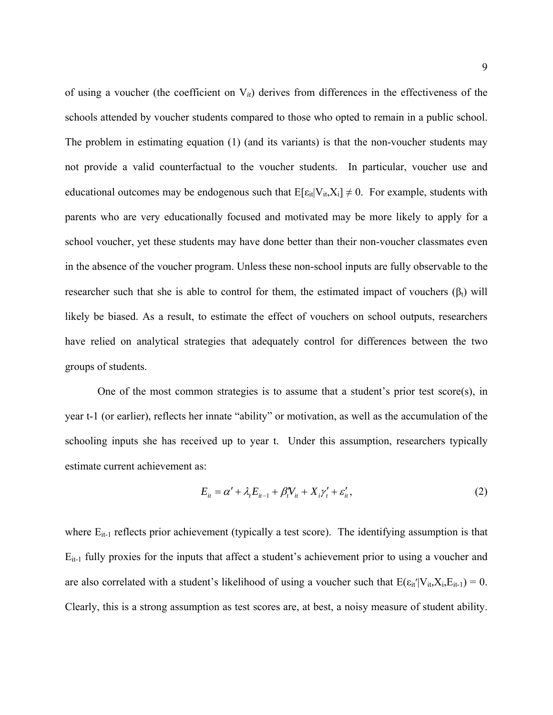of using a voucher (the coefficient on V*it*) derives from differences in the effectiveness of the schools attended by voucher students compared to those who opted to remain in a public school. The problem in estimating equation (1) (and its variants) is that the non-voucher students may not provide a valid counterfactual to the voucher students. In particular, voucher use and educational outcomes may be endogenous such that  $E[\epsilon_{it}|V_{it},X_i] \neq 0$ . For example, students with parents who are very educationally focused and motivated may be more likely to apply for a school voucher, yet these students may have done better than their non-voucher classmates even in the absence of the voucher program. Unless these non-school inputs are fully observable to the researcher such that she is able to control for them, the estimated impact of vouchers  $(\beta_t)$  will likely be biased. As a result, to estimate the effect of vouchers on school outputs, researchers have relied on analytical strategies that adequately control for differences between the two groups of students.

One of the most common strategies is to assume that a student's prior test score(s), in year t-1 (or earlier), reflects her innate "ability" or motivation, as well as the accumulation of the schooling inputs she has received up to year t. Under this assumption, researchers typically estimate current achievement as:

$$
E_{it} = \alpha' + \lambda_t E_{it-1} + \beta_t' V_{it} + X_i \gamma_t' + \varepsilon_{it}'\,,\tag{2}
$$

where  $E_{it-1}$  reflects prior achievement (typically a test score). The identifying assumption is that  $E_{it-1}$  fully proxies for the inputs that affect a student's achievement prior to using a voucher and are also correlated with a student's likelihood of using a voucher such that  $E(\epsilon_{it} | V_{it}, X_i, E_{it-1}) = 0$ . Clearly, this is a strong assumption as test scores are, at best, a noisy measure of student ability.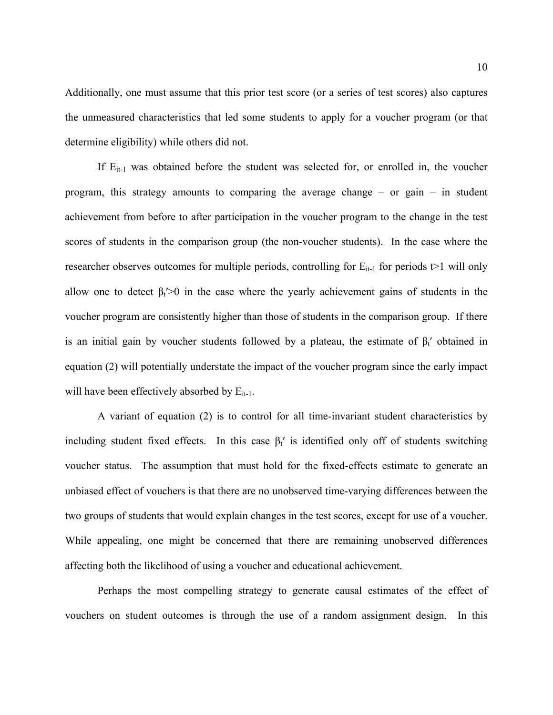Additionally, one must assume that this prior test score (or a series of test scores) also captures the unmeasured characteristics that led some students to apply for a voucher program (or that determine eligibility) while others did not.

If  $E_{it-1}$  was obtained before the student was selected for, or enrolled in, the voucher program, this strategy amounts to comparing the average change – or gain – in student achievement from before to after participation in the voucher program to the change in the test scores of students in the comparison group (the non-voucher students). In the case where the researcher observes outcomes for multiple periods, controlling for  $E_{it-1}$  for periods t>1 will only allow one to detect  $\beta_t$ <sup>'>0</sup> in the case where the yearly achievement gains of students in the voucher program are consistently higher than those of students in the comparison group. If there is an initial gain by voucher students followed by a plateau, the estimate of  $\beta_t$ ' obtained in equation (2) will potentially understate the impact of the voucher program since the early impact will have been effectively absorbed by  $E_{it-1}$ .

A variant of equation (2) is to control for all time-invariant student characteristics by including student fixed effects. In this case  $\beta_t$  is identified only off of students switching voucher status. The assumption that must hold for the fixed-effects estimate to generate an unbiased effect of vouchers is that there are no unobserved time-varying differences between the two groups of students that would explain changes in the test scores, except for use of a voucher. While appealing, one might be concerned that there are remaining unobserved differences affecting both the likelihood of using a voucher and educational achievement.

Perhaps the most compelling strategy to generate causal estimates of the effect of vouchers on student outcomes is through the use of a random assignment design. In this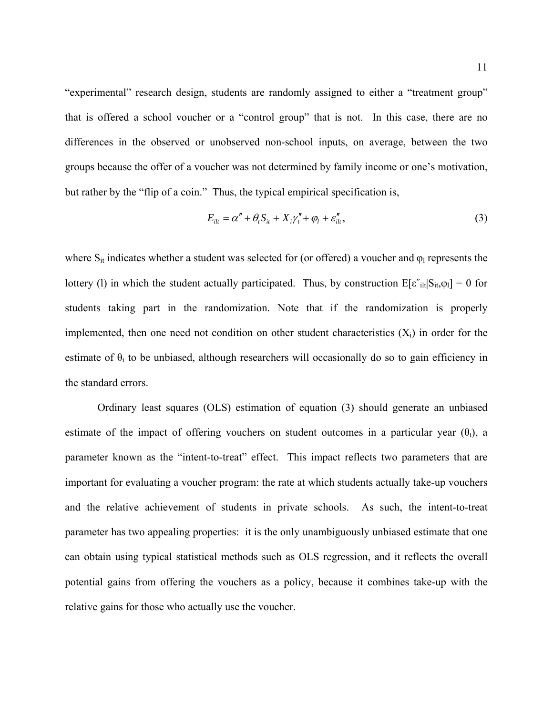"experimental" research design, students are randomly assigned to either a "treatment group" that is offered a school voucher or a "control group" that is not. In this case, there are no differences in the observed or unobserved non-school inputs, on average, between the two groups because the offer of a voucher was not determined by family income or one's motivation, but rather by the "flip of a coin." Thus, the typical empirical specification is,

$$
E_{it} = \alpha'' + \theta_t S_{it} + X_i \gamma''_t + \varphi_t + \varepsilon''_{it},
$$
\n(3)

where  $S_{it}$  indicates whether a student was selected for (or offered) a voucher and  $\varphi_l$  represents the lottery (l) in which the student actually participated. Thus, by construction  $E[\epsilon^{\prime\prime}_{\text{lit}}|S_{\text{it}}\phi_l] = 0$  for students taking part in the randomization. Note that if the randomization is properly implemented, then one need not condition on other student characteristics  $(X_i)$  in order for the estimate of  $\theta_t$  to be unbiased, although researchers will occasionally do so to gain efficiency in the standard errors.

Ordinary least squares (OLS) estimation of equation (3) should generate an unbiased estimate of the impact of offering vouchers on student outcomes in a particular year  $(\theta_t)$ , a parameter known as the "intent-to-treat" effect. This impact reflects two parameters that are important for evaluating a voucher program: the rate at which students actually take-up vouchers and the relative achievement of students in private schools. As such, the intent-to-treat parameter has two appealing properties: it is the only unambiguously unbiased estimate that one can obtain using typical statistical methods such as OLS regression, and it reflects the overall potential gains from offering the vouchers as a policy, because it combines take-up with the relative gains for those who actually use the voucher.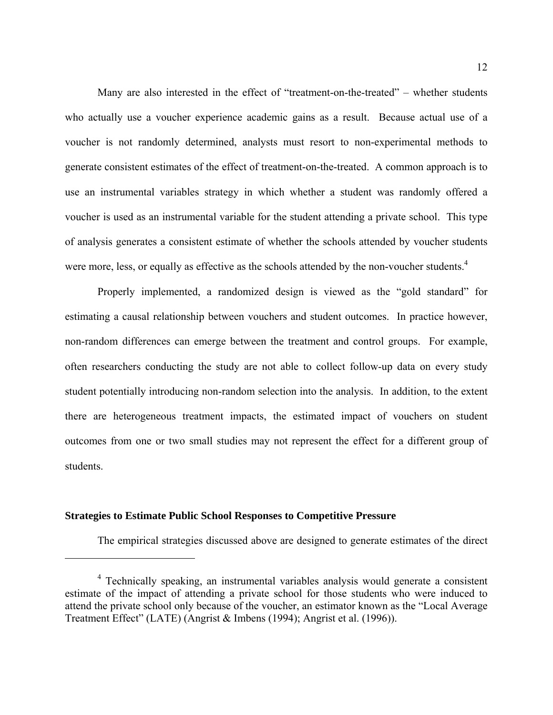Many are also interested in the effect of "treatment-on-the-treated" – whether students who actually use a voucher experience academic gains as a result. Because actual use of a voucher is not randomly determined, analysts must resort to non-experimental methods to generate consistent estimates of the effect of treatment-on-the-treated. A common approach is to use an instrumental variables strategy in which whether a student was randomly offered a voucher is used as an instrumental variable for the student attending a private school. This type of analysis generates a consistent estimate of whether the schools attended by voucher students were more, less, or equally as effective as the schools attended by the non-voucher students.<sup>4</sup>

Properly implemented, a randomized design is viewed as the "gold standard" for estimating a causal relationship between vouchers and student outcomes. In practice however, non-random differences can emerge between the treatment and control groups. For example, often researchers conducting the study are not able to collect follow-up data on every study student potentially introducing non-random selection into the analysis. In addition, to the extent there are heterogeneous treatment impacts, the estimated impact of vouchers on student outcomes from one or two small studies may not represent the effect for a different group of students.

### **Strategies to Estimate Public School Responses to Competitive Pressure**

1

The empirical strategies discussed above are designed to generate estimates of the direct

<sup>&</sup>lt;sup>4</sup> Technically speaking, an instrumental variables analysis would generate a consistent estimate of the impact of attending a private school for those students who were induced to attend the private school only because of the voucher, an estimator known as the "Local Average Treatment Effect" (LATE) (Angrist & Imbens (1994); Angrist et al. (1996)).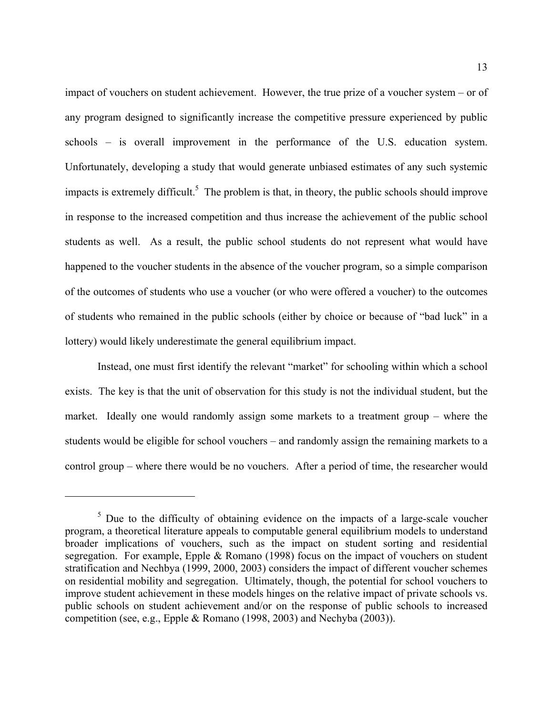impact of vouchers on student achievement. However, the true prize of a voucher system – or of any program designed to significantly increase the competitive pressure experienced by public schools – is overall improvement in the performance of the U.S. education system. Unfortunately, developing a study that would generate unbiased estimates of any such systemic impacts is extremely difficult.<sup>5</sup> The problem is that, in theory, the public schools should improve in response to the increased competition and thus increase the achievement of the public school students as well. As a result, the public school students do not represent what would have happened to the voucher students in the absence of the voucher program, so a simple comparison of the outcomes of students who use a voucher (or who were offered a voucher) to the outcomes of students who remained in the public schools (either by choice or because of "bad luck" in a lottery) would likely underestimate the general equilibrium impact.

Instead, one must first identify the relevant "market" for schooling within which a school exists. The key is that the unit of observation for this study is not the individual student, but the market. Ideally one would randomly assign some markets to a treatment group – where the students would be eligible for school vouchers – and randomly assign the remaining markets to a control group – where there would be no vouchers. After a period of time, the researcher would

<sup>&</sup>lt;sup>5</sup> Due to the difficulty of obtaining evidence on the impacts of a large-scale voucher program, a theoretical literature appeals to computable general equilibrium models to understand broader implications of vouchers, such as the impact on student sorting and residential segregation. For example, Epple & Romano (1998) focus on the impact of vouchers on student stratification and Nechbya (1999, 2000, 2003) considers the impact of different voucher schemes on residential mobility and segregation. Ultimately, though, the potential for school vouchers to improve student achievement in these models hinges on the relative impact of private schools vs. public schools on student achievement and/or on the response of public schools to increased competition (see, e.g., Epple & Romano (1998, 2003) and Nechyba (2003)).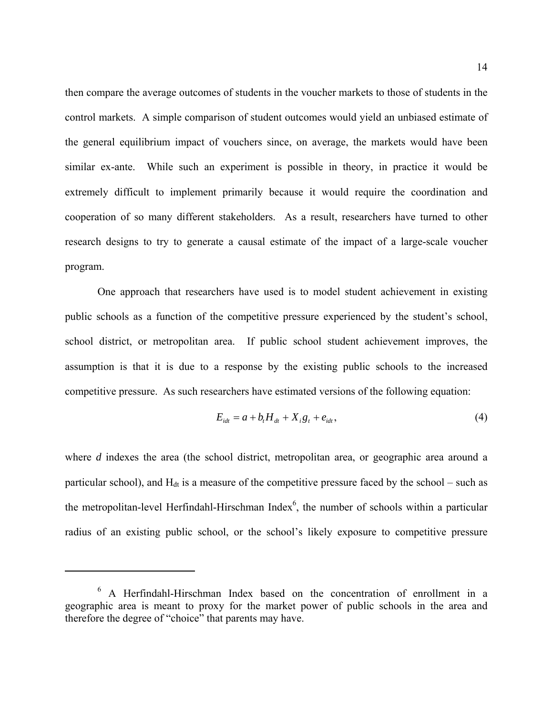then compare the average outcomes of students in the voucher markets to those of students in the control markets. A simple comparison of student outcomes would yield an unbiased estimate of the general equilibrium impact of vouchers since, on average, the markets would have been similar ex-ante. While such an experiment is possible in theory, in practice it would be extremely difficult to implement primarily because it would require the coordination and cooperation of so many different stakeholders. As a result, researchers have turned to other research designs to try to generate a causal estimate of the impact of a large-scale voucher program.

One approach that researchers have used is to model student achievement in existing public schools as a function of the competitive pressure experienced by the student's school, school district, or metropolitan area. If public school student achievement improves, the assumption is that it is due to a response by the existing public schools to the increased competitive pressure. As such researchers have estimated versions of the following equation:

$$
E_{idt} = a + b_t H_{dt} + X_i g_t + e_{idt},
$$
\n(4)

where *d* indexes the area (the school district, metropolitan area, or geographic area around a particular school), and  $H_{dt}$  is a measure of the competitive pressure faced by the school – such as the metropolitan-level Herfindahl-Hirschman Index<sup>6</sup>, the number of schools within a particular radius of an existing public school, or the school's likely exposure to competitive pressure

<sup>6</sup> A Herfindahl-Hirschman Index based on the concentration of enrollment in a geographic area is meant to proxy for the market power of public schools in the area and therefore the degree of "choice" that parents may have.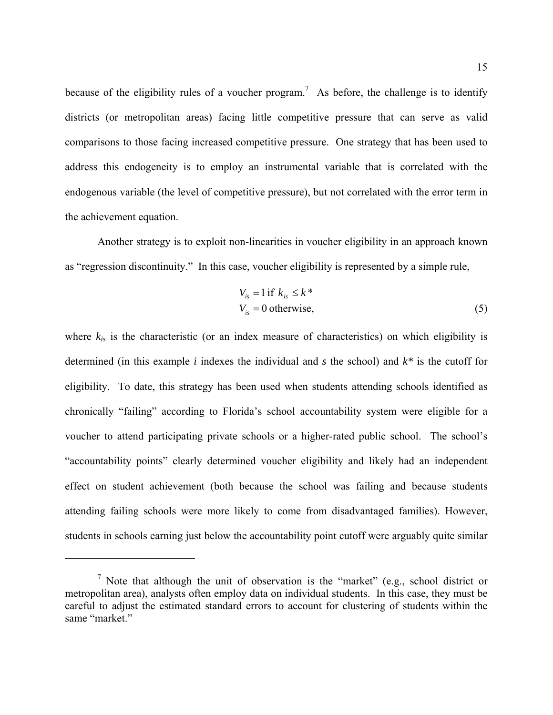because of the eligibility rules of a voucher program.<sup>7</sup> As before, the challenge is to identify districts (or metropolitan areas) facing little competitive pressure that can serve as valid comparisons to those facing increased competitive pressure. One strategy that has been used to address this endogeneity is to employ an instrumental variable that is correlated with the endogenous variable (the level of competitive pressure), but not correlated with the error term in the achievement equation.

Another strategy is to exploit non-linearities in voucher eligibility in an approach known as "regression discontinuity." In this case, voucher eligibility is represented by a simple rule,

$$
V_{is} = 1 \text{ if } k_{is} \le k^*
$$
  

$$
V_{is} = 0 \text{ otherwise,}
$$
 (5)

where  $k_{is}$  is the characteristic (or an index measure of characteristics) on which eligibility is determined (in this example *i* indexes the individual and *s* the school) and *k\** is the cutoff for eligibility. To date, this strategy has been used when students attending schools identified as chronically "failing" according to Florida's school accountability system were eligible for a voucher to attend participating private schools or a higher-rated public school. The school's "accountability points" clearly determined voucher eligibility and likely had an independent effect on student achievement (both because the school was failing and because students attending failing schools were more likely to come from disadvantaged families). However, students in schools earning just below the accountability point cutoff were arguably quite similar

<sup>&</sup>lt;sup>7</sup> Note that although the unit of observation is the "market" (e.g., school district or metropolitan area), analysts often employ data on individual students. In this case, they must be careful to adjust the estimated standard errors to account for clustering of students within the same "market"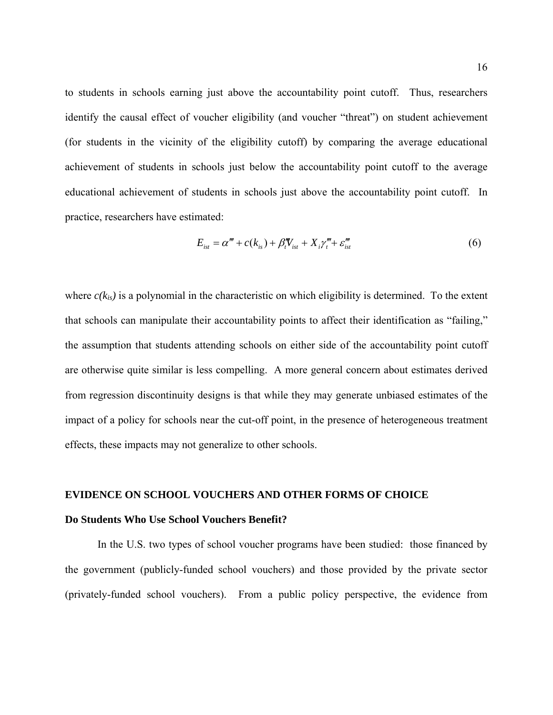to students in schools earning just above the accountability point cutoff. Thus, researchers identify the causal effect of voucher eligibility (and voucher "threat") on student achievement (for students in the vicinity of the eligibility cutoff) by comparing the average educational achievement of students in schools just below the accountability point cutoff to the average educational achievement of students in schools just above the accountability point cutoff. In practice, researchers have estimated:

$$
E_{_{ist}} = \alpha''' + c(k_{_{is}}) + \beta''_{t}V_{_{ist}} + X_{_{i}}\gamma''_{t} + \varepsilon'''_{_{ist}}
$$
(6)

where  $c(k_{is})$  is a polynomial in the characteristic on which eligibility is determined. To the extent that schools can manipulate their accountability points to affect their identification as "failing," the assumption that students attending schools on either side of the accountability point cutoff are otherwise quite similar is less compelling. A more general concern about estimates derived from regression discontinuity designs is that while they may generate unbiased estimates of the impact of a policy for schools near the cut-off point, in the presence of heterogeneous treatment effects, these impacts may not generalize to other schools.

### **EVIDENCE ON SCHOOL VOUCHERS AND OTHER FORMS OF CHOICE**

### **Do Students Who Use School Vouchers Benefit?**

In the U.S. two types of school voucher programs have been studied: those financed by the government (publicly-funded school vouchers) and those provided by the private sector (privately-funded school vouchers). From a public policy perspective, the evidence from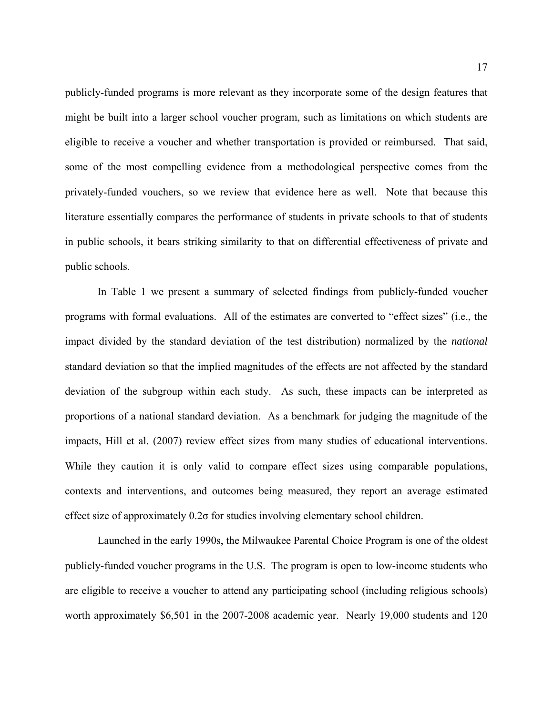publicly-funded programs is more relevant as they incorporate some of the design features that might be built into a larger school voucher program, such as limitations on which students are eligible to receive a voucher and whether transportation is provided or reimbursed. That said, some of the most compelling evidence from a methodological perspective comes from the privately-funded vouchers, so we review that evidence here as well. Note that because this literature essentially compares the performance of students in private schools to that of students in public schools, it bears striking similarity to that on differential effectiveness of private and public schools.

In Table 1 we present a summary of selected findings from publicly-funded voucher programs with formal evaluations. All of the estimates are converted to "effect sizes" (i.e., the impact divided by the standard deviation of the test distribution) normalized by the *national* standard deviation so that the implied magnitudes of the effects are not affected by the standard deviation of the subgroup within each study. As such, these impacts can be interpreted as proportions of a national standard deviation. As a benchmark for judging the magnitude of the impacts, Hill et al. (2007) review effect sizes from many studies of educational interventions. While they caution it is only valid to compare effect sizes using comparable populations, contexts and interventions, and outcomes being measured, they report an average estimated effect size of approximately 0.2σ for studies involving elementary school children.

Launched in the early 1990s, the Milwaukee Parental Choice Program is one of the oldest publicly-funded voucher programs in the U.S. The program is open to low-income students who are eligible to receive a voucher to attend any participating school (including religious schools) worth approximately \$6,501 in the 2007-2008 academic year. Nearly 19,000 students and 120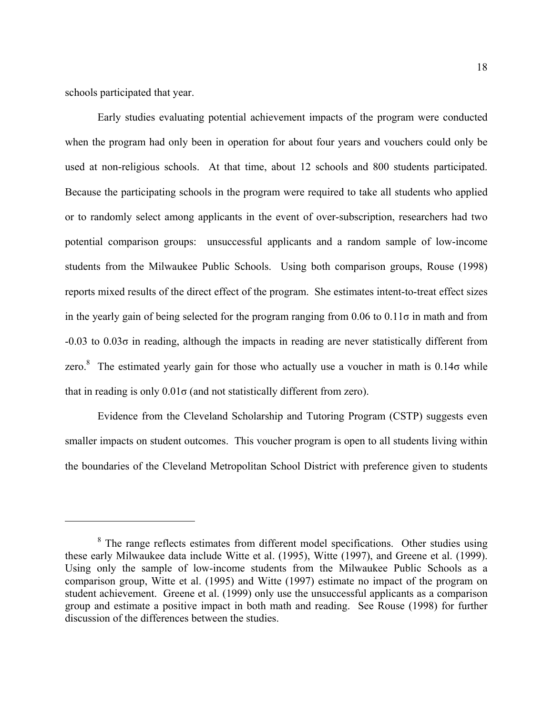schools participated that year.

 $\overline{a}$ 

Early studies evaluating potential achievement impacts of the program were conducted when the program had only been in operation for about four years and vouchers could only be used at non-religious schools. At that time, about 12 schools and 800 students participated. Because the participating schools in the program were required to take all students who applied or to randomly select among applicants in the event of over-subscription, researchers had two potential comparison groups: unsuccessful applicants and a random sample of low-income students from the Milwaukee Public Schools. Using both comparison groups, Rouse (1998) reports mixed results of the direct effect of the program. She estimates intent-to-treat effect sizes in the yearly gain of being selected for the program ranging from  $0.06$  to  $0.11\sigma$  in math and from  $-0.03$  to  $0.03\sigma$  in reading, although the impacts in reading are never statistically different from zero.<sup>8</sup> The estimated yearly gain for those who actually use a voucher in math is  $0.14\sigma$  while that in reading is only  $0.01\sigma$  (and not statistically different from zero).

Evidence from the Cleveland Scholarship and Tutoring Program (CSTP) suggests even smaller impacts on student outcomes. This voucher program is open to all students living within the boundaries of the Cleveland Metropolitan School District with preference given to students

 $8$  The range reflects estimates from different model specifications. Other studies using these early Milwaukee data include Witte et al. (1995), Witte (1997), and Greene et al. (1999). Using only the sample of low-income students from the Milwaukee Public Schools as a comparison group, Witte et al. (1995) and Witte (1997) estimate no impact of the program on student achievement. Greene et al. (1999) only use the unsuccessful applicants as a comparison group and estimate a positive impact in both math and reading. See Rouse (1998) for further discussion of the differences between the studies.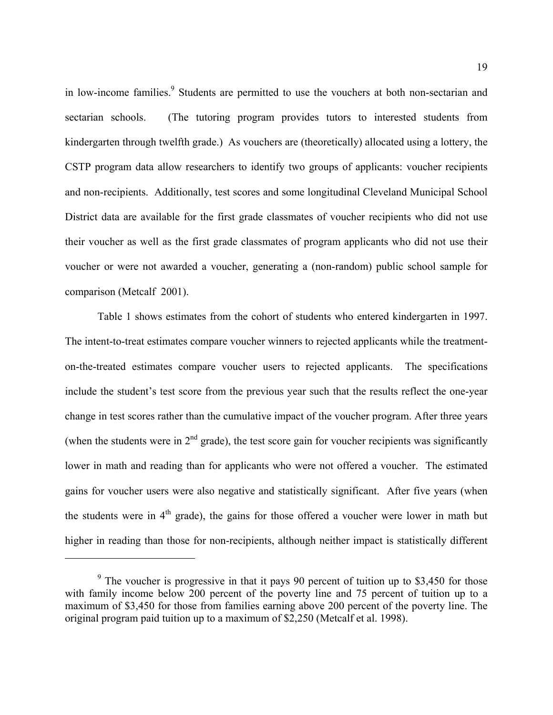in low-income families.<sup>9</sup> Students are permitted to use the vouchers at both non-sectarian and sectarian schools. (The tutoring program provides tutors to interested students from kindergarten through twelfth grade.) As vouchers are (theoretically) allocated using a lottery, the CSTP program data allow researchers to identify two groups of applicants: voucher recipients and non-recipients. Additionally, test scores and some longitudinal Cleveland Municipal School District data are available for the first grade classmates of voucher recipients who did not use their voucher as well as the first grade classmates of program applicants who did not use their voucher or were not awarded a voucher, generating a (non-random) public school sample for comparison (Metcalf 2001).

Table 1 shows estimates from the cohort of students who entered kindergarten in 1997. The intent-to-treat estimates compare voucher winners to rejected applicants while the treatmenton-the-treated estimates compare voucher users to rejected applicants. The specifications include the student's test score from the previous year such that the results reflect the one-year change in test scores rather than the cumulative impact of the voucher program. After three years (when the students were in  $2<sup>nd</sup>$  grade), the test score gain for voucher recipients was significantly lower in math and reading than for applicants who were not offered a voucher. The estimated gains for voucher users were also negative and statistically significant. After five years (when the students were in  $4<sup>th</sup>$  grade), the gains for those offered a voucher were lower in math but higher in reading than those for non-recipients, although neither impact is statistically different

<sup>&</sup>lt;sup>9</sup> The voucher is progressive in that it pays 90 percent of tuition up to \$3,450 for those with family income below 200 percent of the poverty line and 75 percent of tuition up to a maximum of \$3,450 for those from families earning above 200 percent of the poverty line. The original program paid tuition up to a maximum of \$2,250 (Metcalf et al. 1998).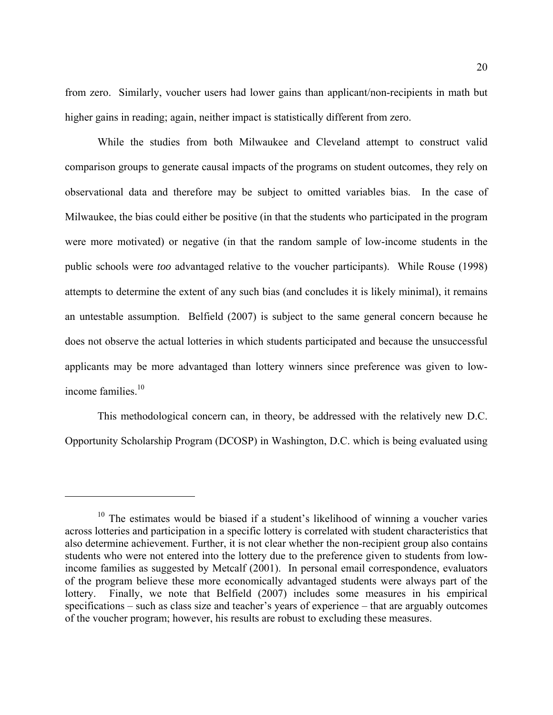from zero. Similarly, voucher users had lower gains than applicant/non-recipients in math but higher gains in reading; again, neither impact is statistically different from zero.

While the studies from both Milwaukee and Cleveland attempt to construct valid comparison groups to generate causal impacts of the programs on student outcomes, they rely on observational data and therefore may be subject to omitted variables bias. In the case of Milwaukee, the bias could either be positive (in that the students who participated in the program were more motivated) or negative (in that the random sample of low-income students in the public schools were *too* advantaged relative to the voucher participants). While Rouse (1998) attempts to determine the extent of any such bias (and concludes it is likely minimal), it remains an untestable assumption. Belfield (2007) is subject to the same general concern because he does not observe the actual lotteries in which students participated and because the unsuccessful applicants may be more advantaged than lottery winners since preference was given to lowincome families. $10$ 

This methodological concern can, in theory, be addressed with the relatively new D.C. Opportunity Scholarship Program (DCOSP) in Washington, D.C. which is being evaluated using

 $10$  The estimates would be biased if a student's likelihood of winning a voucher varies across lotteries and participation in a specific lottery is correlated with student characteristics that also determine achievement. Further, it is not clear whether the non-recipient group also contains students who were not entered into the lottery due to the preference given to students from lowincome families as suggested by Metcalf (2001). In personal email correspondence, evaluators of the program believe these more economically advantaged students were always part of the lottery. Finally, we note that Belfield (2007) includes some measures in his empirical specifications – such as class size and teacher's years of experience – that are arguably outcomes of the voucher program; however, his results are robust to excluding these measures.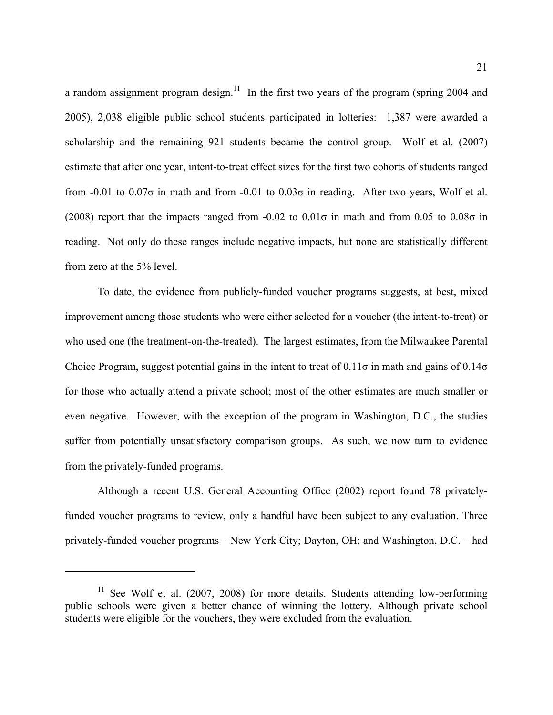a random assignment program design.<sup>11</sup> In the first two years of the program (spring 2004 and 2005), 2,038 eligible public school students participated in lotteries: 1,387 were awarded a scholarship and the remaining 921 students became the control group. Wolf et al. (2007) estimate that after one year, intent-to-treat effect sizes for the first two cohorts of students ranged from  $-0.01$  to  $0.07\sigma$  in math and from  $-0.01$  to  $0.03\sigma$  in reading. After two years, Wolf et al. (2008) report that the impacts ranged from  $-0.02$  to  $0.01\sigma$  in math and from 0.05 to 0.08 $\sigma$  in reading. Not only do these ranges include negative impacts, but none are statistically different from zero at the 5% level.

To date, the evidence from publicly-funded voucher programs suggests, at best, mixed improvement among those students who were either selected for a voucher (the intent-to-treat) or who used one (the treatment-on-the-treated). The largest estimates, from the Milwaukee Parental Choice Program, suggest potential gains in the intent to treat of  $0.11\sigma$  in math and gains of  $0.14\sigma$ for those who actually attend a private school; most of the other estimates are much smaller or even negative. However, with the exception of the program in Washington, D.C., the studies suffer from potentially unsatisfactory comparison groups. As such, we now turn to evidence from the privately-funded programs.

Although a recent U.S. General Accounting Office (2002) report found 78 privatelyfunded voucher programs to review, only a handful have been subject to any evaluation. Three privately-funded voucher programs – New York City; Dayton, OH; and Washington, D.C. – had

 $11$  See Wolf et al. (2007, 2008) for more details. Students attending low-performing public schools were given a better chance of winning the lottery. Although private school students were eligible for the vouchers, they were excluded from the evaluation.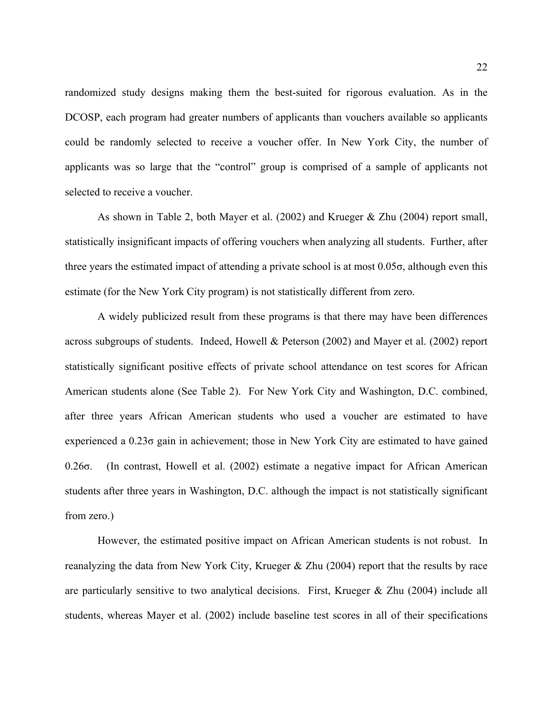randomized study designs making them the best-suited for rigorous evaluation. As in the DCOSP, each program had greater numbers of applicants than vouchers available so applicants could be randomly selected to receive a voucher offer. In New York City, the number of applicants was so large that the "control" group is comprised of a sample of applicants not selected to receive a voucher.

As shown in Table 2, both Mayer et al. (2002) and Krueger & Zhu (2004) report small, statistically insignificant impacts of offering vouchers when analyzing all students. Further, after three years the estimated impact of attending a private school is at most  $0.05\sigma$ , although even this estimate (for the New York City program) is not statistically different from zero.

A widely publicized result from these programs is that there may have been differences across subgroups of students. Indeed, Howell & Peterson (2002) and Mayer et al. (2002) report statistically significant positive effects of private school attendance on test scores for African American students alone (See Table 2). For New York City and Washington, D.C. combined, after three years African American students who used a voucher are estimated to have experienced a 0.23σ gain in achievement; those in New York City are estimated to have gained 0.26σ. (In contrast, Howell et al. (2002) estimate a negative impact for African American students after three years in Washington, D.C. although the impact is not statistically significant from zero.)

However, the estimated positive impact on African American students is not robust. In reanalyzing the data from New York City, Krueger & Zhu (2004) report that the results by race are particularly sensitive to two analytical decisions. First, Krueger & Zhu (2004) include all students, whereas Mayer et al. (2002) include baseline test scores in all of their specifications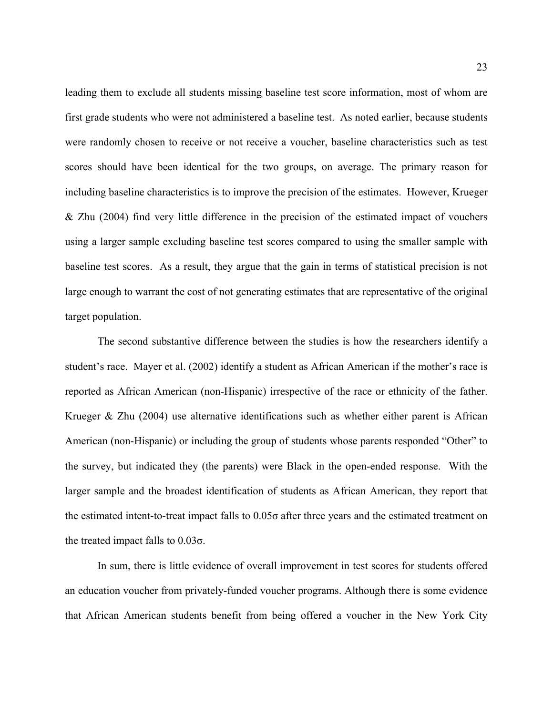leading them to exclude all students missing baseline test score information, most of whom are first grade students who were not administered a baseline test. As noted earlier, because students were randomly chosen to receive or not receive a voucher, baseline characteristics such as test scores should have been identical for the two groups, on average. The primary reason for including baseline characteristics is to improve the precision of the estimates. However, Krueger & Zhu (2004) find very little difference in the precision of the estimated impact of vouchers using a larger sample excluding baseline test scores compared to using the smaller sample with baseline test scores. As a result, they argue that the gain in terms of statistical precision is not large enough to warrant the cost of not generating estimates that are representative of the original target population.

The second substantive difference between the studies is how the researchers identify a student's race. Mayer et al. (2002) identify a student as African American if the mother's race is reported as African American (non-Hispanic) irrespective of the race or ethnicity of the father. Krueger & Zhu (2004) use alternative identifications such as whether either parent is African American (non-Hispanic) or including the group of students whose parents responded "Other" to the survey, but indicated they (the parents) were Black in the open-ended response. With the larger sample and the broadest identification of students as African American, they report that the estimated intent-to-treat impact falls to 0.05σ after three years and the estimated treatment on the treated impact falls to 0.03σ.

In sum, there is little evidence of overall improvement in test scores for students offered an education voucher from privately-funded voucher programs. Although there is some evidence that African American students benefit from being offered a voucher in the New York City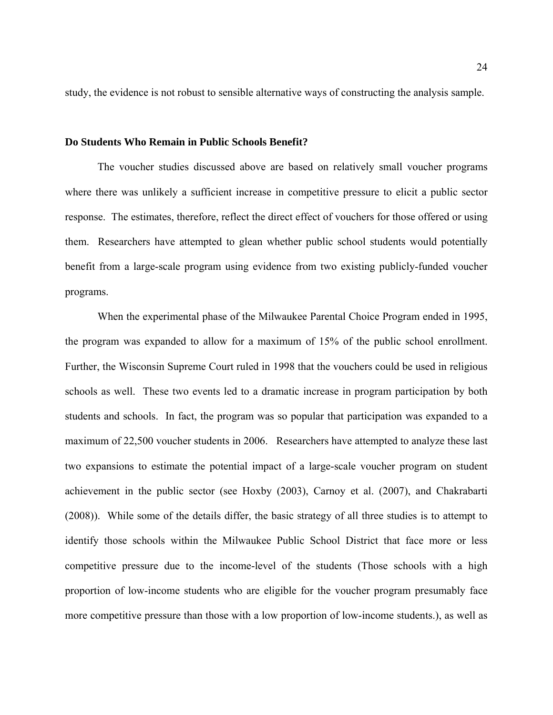study, the evidence is not robust to sensible alternative ways of constructing the analysis sample.

### **Do Students Who Remain in Public Schools Benefit?**

The voucher studies discussed above are based on relatively small voucher programs where there was unlikely a sufficient increase in competitive pressure to elicit a public sector response. The estimates, therefore, reflect the direct effect of vouchers for those offered or using them. Researchers have attempted to glean whether public school students would potentially benefit from a large-scale program using evidence from two existing publicly-funded voucher programs.

When the experimental phase of the Milwaukee Parental Choice Program ended in 1995, the program was expanded to allow for a maximum of 15% of the public school enrollment. Further, the Wisconsin Supreme Court ruled in 1998 that the vouchers could be used in religious schools as well. These two events led to a dramatic increase in program participation by both students and schools. In fact, the program was so popular that participation was expanded to a maximum of 22,500 voucher students in 2006. Researchers have attempted to analyze these last two expansions to estimate the potential impact of a large-scale voucher program on student achievement in the public sector (see Hoxby (2003), Carnoy et al. (2007), and Chakrabarti (2008)). While some of the details differ, the basic strategy of all three studies is to attempt to identify those schools within the Milwaukee Public School District that face more or less competitive pressure due to the income-level of the students (Those schools with a high proportion of low-income students who are eligible for the voucher program presumably face more competitive pressure than those with a low proportion of low-income students.), as well as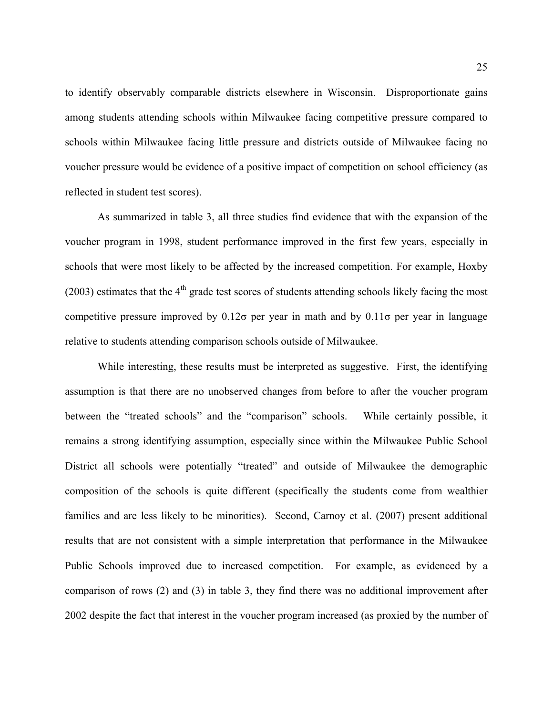to identify observably comparable districts elsewhere in Wisconsin. Disproportionate gains among students attending schools within Milwaukee facing competitive pressure compared to schools within Milwaukee facing little pressure and districts outside of Milwaukee facing no voucher pressure would be evidence of a positive impact of competition on school efficiency (as reflected in student test scores).

As summarized in table 3, all three studies find evidence that with the expansion of the voucher program in 1998, student performance improved in the first few years, especially in schools that were most likely to be affected by the increased competition. For example, Hoxby (2003) estimates that the  $4<sup>th</sup>$  grade test scores of students attending schools likely facing the most competitive pressure improved by  $0.12\sigma$  per year in math and by  $0.11\sigma$  per year in language relative to students attending comparison schools outside of Milwaukee.

While interesting, these results must be interpreted as suggestive. First, the identifying assumption is that there are no unobserved changes from before to after the voucher program between the "treated schools" and the "comparison" schools. While certainly possible, it remains a strong identifying assumption, especially since within the Milwaukee Public School District all schools were potentially "treated" and outside of Milwaukee the demographic composition of the schools is quite different (specifically the students come from wealthier families and are less likely to be minorities). Second, Carnoy et al. (2007) present additional results that are not consistent with a simple interpretation that performance in the Milwaukee Public Schools improved due to increased competition. For example, as evidenced by a comparison of rows (2) and (3) in table 3, they find there was no additional improvement after 2002 despite the fact that interest in the voucher program increased (as proxied by the number of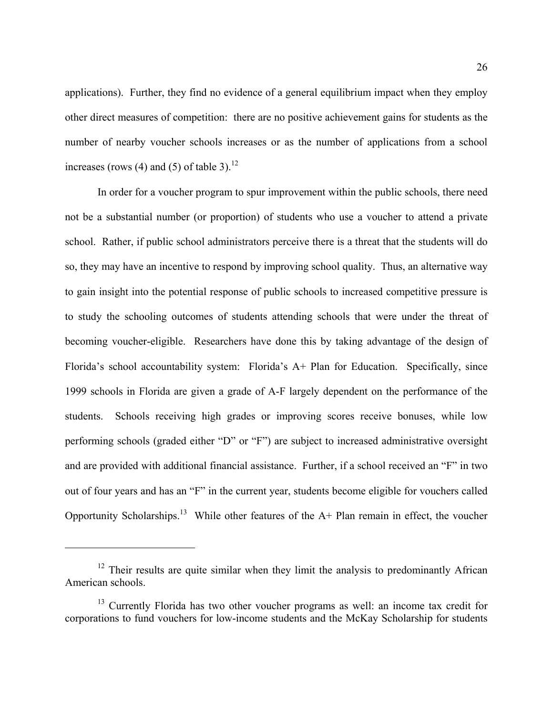applications). Further, they find no evidence of a general equilibrium impact when they employ other direct measures of competition: there are no positive achievement gains for students as the number of nearby voucher schools increases or as the number of applications from a school increases (rows (4) and (5) of table 3).<sup>12</sup>

In order for a voucher program to spur improvement within the public schools, there need not be a substantial number (or proportion) of students who use a voucher to attend a private school. Rather, if public school administrators perceive there is a threat that the students will do so, they may have an incentive to respond by improving school quality. Thus, an alternative way to gain insight into the potential response of public schools to increased competitive pressure is to study the schooling outcomes of students attending schools that were under the threat of becoming voucher-eligible. Researchers have done this by taking advantage of the design of Florida's school accountability system: Florida's A+ Plan for Education. Specifically, since 1999 schools in Florida are given a grade of A-F largely dependent on the performance of the students. Schools receiving high grades or improving scores receive bonuses, while low performing schools (graded either "D" or "F") are subject to increased administrative oversight and are provided with additional financial assistance. Further, if a school received an "F" in two out of four years and has an "F" in the current year, students become eligible for vouchers called Opportunity Scholarships.<sup>13</sup> While other features of the  $A+$  Plan remain in effect, the voucher

<sup>&</sup>lt;sup>12</sup> Their results are quite similar when they limit the analysis to predominantly African American schools.

<sup>&</sup>lt;sup>13</sup> Currently Florida has two other voucher programs as well: an income tax credit for corporations to fund vouchers for low-income students and the McKay Scholarship for students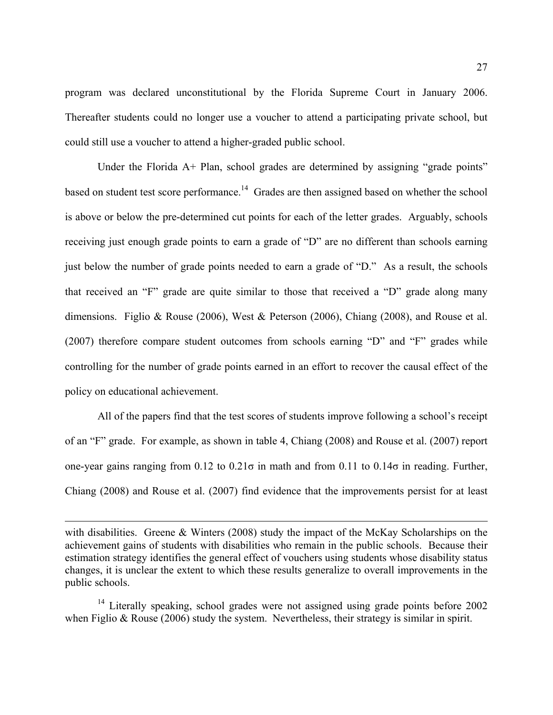program was declared unconstitutional by the Florida Supreme Court in January 2006. Thereafter students could no longer use a voucher to attend a participating private school, but could still use a voucher to attend a higher-graded public school.

Under the Florida A+ Plan, school grades are determined by assigning "grade points" based on student test score performance.<sup>14</sup> Grades are then assigned based on whether the school is above or below the pre-determined cut points for each of the letter grades. Arguably, schools receiving just enough grade points to earn a grade of "D" are no different than schools earning just below the number of grade points needed to earn a grade of "D." As a result, the schools that received an "F" grade are quite similar to those that received a "D" grade along many dimensions. Figlio & Rouse (2006), West & Peterson (2006), Chiang (2008), and Rouse et al. (2007) therefore compare student outcomes from schools earning "D" and "F" grades while controlling for the number of grade points earned in an effort to recover the causal effect of the policy on educational achievement.

All of the papers find that the test scores of students improve following a school's receipt of an "F" grade. For example, as shown in table 4, Chiang (2008) and Rouse et al. (2007) report one-year gains ranging from  $0.12$  to  $0.21\sigma$  in math and from  $0.11$  to  $0.14\sigma$  in reading. Further, Chiang (2008) and Rouse et al. (2007) find evidence that the improvements persist for at least

1

with disabilities. Greene & Winters (2008) study the impact of the McKay Scholarships on the achievement gains of students with disabilities who remain in the public schools. Because their estimation strategy identifies the general effect of vouchers using students whose disability status changes, it is unclear the extent to which these results generalize to overall improvements in the public schools.

<sup>&</sup>lt;sup>14</sup> Literally speaking, school grades were not assigned using grade points before 2002 when Figlio & Rouse (2006) study the system. Nevertheless, their strategy is similar in spirit.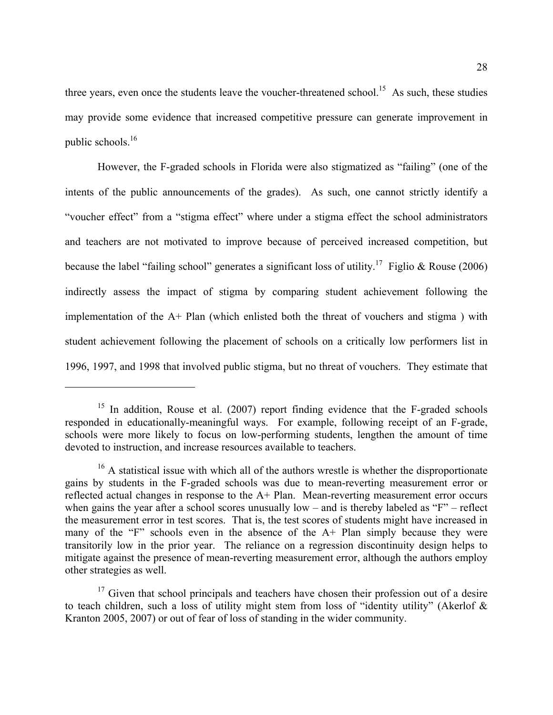three years, even once the students leave the voucher-threatened school.<sup>15</sup> As such, these studies may provide some evidence that increased competitive pressure can generate improvement in public schools.16

However, the F-graded schools in Florida were also stigmatized as "failing" (one of the intents of the public announcements of the grades). As such, one cannot strictly identify a "voucher effect" from a "stigma effect" where under a stigma effect the school administrators and teachers are not motivated to improve because of perceived increased competition, but because the label "failing school" generates a significant loss of utility.<sup>17</sup> Figlio & Rouse (2006) indirectly assess the impact of stigma by comparing student achievement following the implementation of the A+ Plan (which enlisted both the threat of vouchers and stigma ) with student achievement following the placement of schools on a critically low performers list in 1996, 1997, and 1998 that involved public stigma, but no threat of vouchers. They estimate that

<sup>&</sup>lt;sup>15</sup> In addition, Rouse et al.  $(2007)$  report finding evidence that the F-graded schools responded in educationally-meaningful ways. For example, following receipt of an F-grade, schools were more likely to focus on low-performing students, lengthen the amount of time devoted to instruction, and increase resources available to teachers.

 $16$  A statistical issue with which all of the authors wrestle is whether the disproportionate gains by students in the F-graded schools was due to mean-reverting measurement error or reflected actual changes in response to the A+ Plan. Mean-reverting measurement error occurs when gains the year after a school scores unusually low – and is thereby labeled as "F" – reflect the measurement error in test scores. That is, the test scores of students might have increased in many of the "F" schools even in the absence of the A+ Plan simply because they were transitorily low in the prior year. The reliance on a regression discontinuity design helps to mitigate against the presence of mean-reverting measurement error, although the authors employ other strategies as well.

 $17$  Given that school principals and teachers have chosen their profession out of a desire to teach children, such a loss of utility might stem from loss of "identity utility" (Akerlof & Kranton 2005, 2007) or out of fear of loss of standing in the wider community.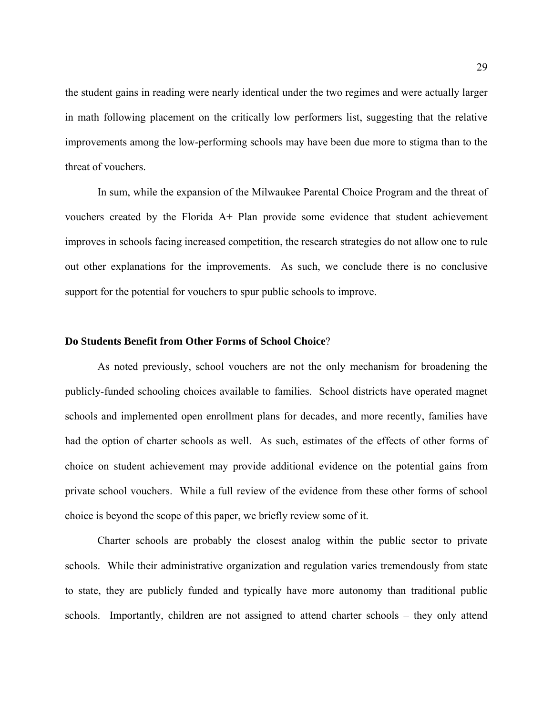the student gains in reading were nearly identical under the two regimes and were actually larger in math following placement on the critically low performers list, suggesting that the relative improvements among the low-performing schools may have been due more to stigma than to the threat of vouchers.

In sum, while the expansion of the Milwaukee Parental Choice Program and the threat of vouchers created by the Florida A+ Plan provide some evidence that student achievement improves in schools facing increased competition, the research strategies do not allow one to rule out other explanations for the improvements. As such, we conclude there is no conclusive support for the potential for vouchers to spur public schools to improve.

### **Do Students Benefit from Other Forms of School Choice**?

As noted previously, school vouchers are not the only mechanism for broadening the publicly-funded schooling choices available to families. School districts have operated magnet schools and implemented open enrollment plans for decades, and more recently, families have had the option of charter schools as well. As such, estimates of the effects of other forms of choice on student achievement may provide additional evidence on the potential gains from private school vouchers. While a full review of the evidence from these other forms of school choice is beyond the scope of this paper, we briefly review some of it.

Charter schools are probably the closest analog within the public sector to private schools. While their administrative organization and regulation varies tremendously from state to state, they are publicly funded and typically have more autonomy than traditional public schools. Importantly, children are not assigned to attend charter schools – they only attend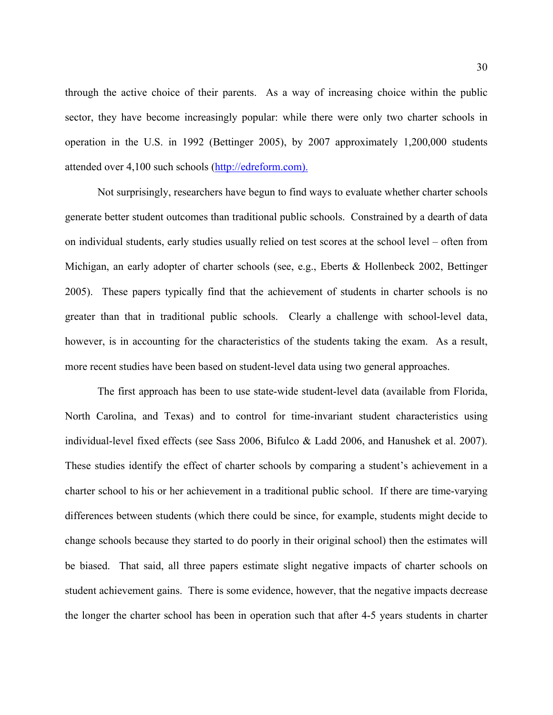through the active choice of their parents. As a way of increasing choice within the public sector, they have become increasingly popular: while there were only two charter schools in operation in the U.S. in 1992 (Bettinger 2005), by 2007 approximately 1,200,000 students attended over 4,100 such schools (http://edreform.com).

Not surprisingly, researchers have begun to find ways to evaluate whether charter schools generate better student outcomes than traditional public schools. Constrained by a dearth of data on individual students, early studies usually relied on test scores at the school level – often from Michigan, an early adopter of charter schools (see, e.g., Eberts & Hollenbeck 2002, Bettinger 2005). These papers typically find that the achievement of students in charter schools is no greater than that in traditional public schools. Clearly a challenge with school-level data, however, is in accounting for the characteristics of the students taking the exam. As a result, more recent studies have been based on student-level data using two general approaches.

The first approach has been to use state-wide student-level data (available from Florida, North Carolina, and Texas) and to control for time-invariant student characteristics using individual-level fixed effects (see Sass 2006, Bifulco & Ladd 2006, and Hanushek et al. 2007). These studies identify the effect of charter schools by comparing a student's achievement in a charter school to his or her achievement in a traditional public school. If there are time-varying differences between students (which there could be since, for example, students might decide to change schools because they started to do poorly in their original school) then the estimates will be biased. That said, all three papers estimate slight negative impacts of charter schools on student achievement gains. There is some evidence, however, that the negative impacts decrease the longer the charter school has been in operation such that after 4-5 years students in charter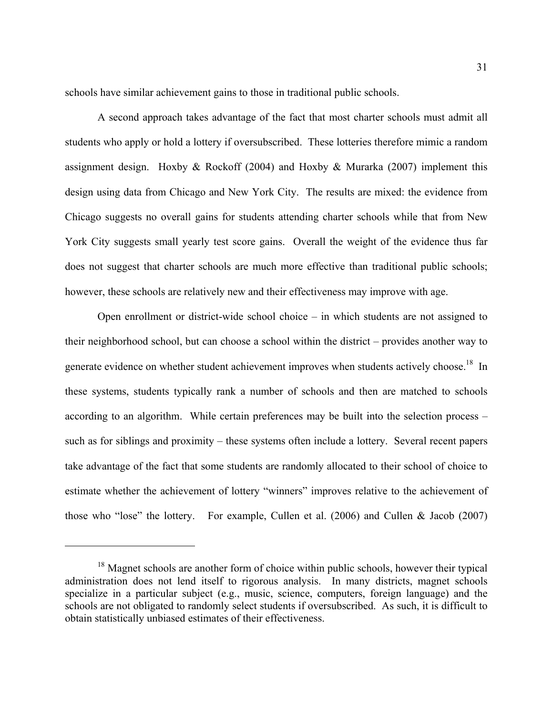schools have similar achievement gains to those in traditional public schools.

A second approach takes advantage of the fact that most charter schools must admit all students who apply or hold a lottery if oversubscribed. These lotteries therefore mimic a random assignment design. Hoxby & Rockoff (2004) and Hoxby & Murarka (2007) implement this design using data from Chicago and New York City. The results are mixed: the evidence from Chicago suggests no overall gains for students attending charter schools while that from New York City suggests small yearly test score gains. Overall the weight of the evidence thus far does not suggest that charter schools are much more effective than traditional public schools; however, these schools are relatively new and their effectiveness may improve with age.

Open enrollment or district-wide school choice – in which students are not assigned to their neighborhood school, but can choose a school within the district – provides another way to generate evidence on whether student achievement improves when students actively choose.<sup>18</sup> In these systems, students typically rank a number of schools and then are matched to schools according to an algorithm. While certain preferences may be built into the selection process – such as for siblings and proximity – these systems often include a lottery. Several recent papers take advantage of the fact that some students are randomly allocated to their school of choice to estimate whether the achievement of lottery "winners" improves relative to the achievement of those who "lose" the lottery. For example, Cullen et al. (2006) and Cullen & Jacob (2007)

<sup>&</sup>lt;sup>18</sup> Magnet schools are another form of choice within public schools, however their typical administration does not lend itself to rigorous analysis. In many districts, magnet schools specialize in a particular subject (e.g., music, science, computers, foreign language) and the schools are not obligated to randomly select students if oversubscribed. As such, it is difficult to obtain statistically unbiased estimates of their effectiveness.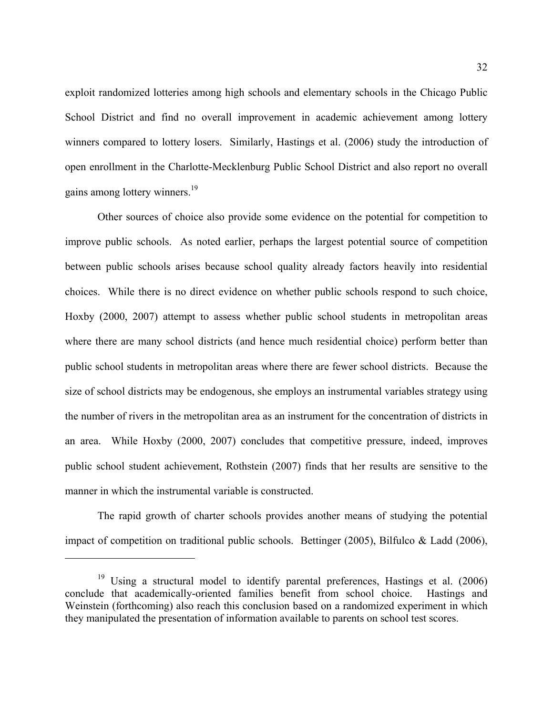exploit randomized lotteries among high schools and elementary schools in the Chicago Public School District and find no overall improvement in academic achievement among lottery winners compared to lottery losers. Similarly, Hastings et al. (2006) study the introduction of open enrollment in the Charlotte-Mecklenburg Public School District and also report no overall gains among lottery winners.<sup>19</sup>

Other sources of choice also provide some evidence on the potential for competition to improve public schools. As noted earlier, perhaps the largest potential source of competition between public schools arises because school quality already factors heavily into residential choices. While there is no direct evidence on whether public schools respond to such choice, Hoxby (2000, 2007) attempt to assess whether public school students in metropolitan areas where there are many school districts (and hence much residential choice) perform better than public school students in metropolitan areas where there are fewer school districts. Because the size of school districts may be endogenous, she employs an instrumental variables strategy using the number of rivers in the metropolitan area as an instrument for the concentration of districts in an area. While Hoxby (2000, 2007) concludes that competitive pressure, indeed, improves public school student achievement, Rothstein (2007) finds that her results are sensitive to the manner in which the instrumental variable is constructed.

The rapid growth of charter schools provides another means of studying the potential impact of competition on traditional public schools. Bettinger (2005), Bilfulco & Ladd (2006),

<sup>&</sup>lt;sup>19</sup> Using a structural model to identify parental preferences, Hastings et al. (2006) conclude that academically-oriented families benefit from school choice. Hastings and Weinstein (forthcoming) also reach this conclusion based on a randomized experiment in which they manipulated the presentation of information available to parents on school test scores.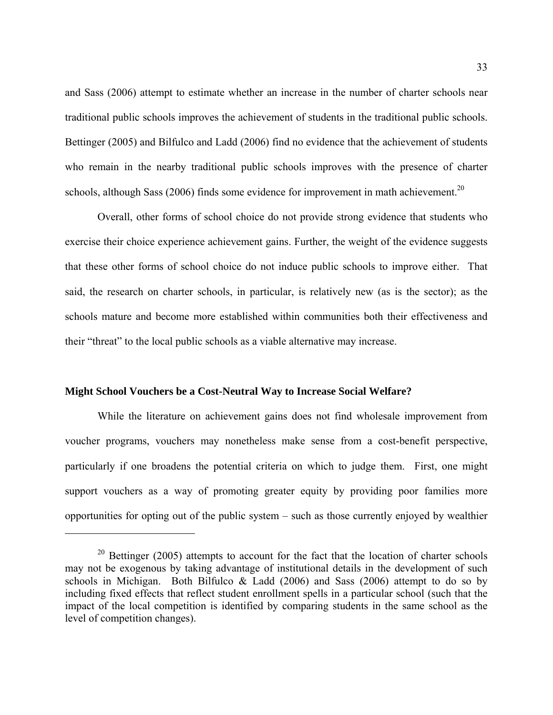and Sass (2006) attempt to estimate whether an increase in the number of charter schools near traditional public schools improves the achievement of students in the traditional public schools. Bettinger (2005) and Bilfulco and Ladd (2006) find no evidence that the achievement of students who remain in the nearby traditional public schools improves with the presence of charter schools, although Sass (2006) finds some evidence for improvement in math achievement.<sup>20</sup>

Overall, other forms of school choice do not provide strong evidence that students who exercise their choice experience achievement gains. Further, the weight of the evidence suggests that these other forms of school choice do not induce public schools to improve either. That said, the research on charter schools, in particular, is relatively new (as is the sector); as the schools mature and become more established within communities both their effectiveness and their "threat" to the local public schools as a viable alternative may increase.

### **Might School Vouchers be a Cost-Neutral Way to Increase Social Welfare?**

<u>.</u>

While the literature on achievement gains does not find wholesale improvement from voucher programs, vouchers may nonetheless make sense from a cost-benefit perspective, particularly if one broadens the potential criteria on which to judge them. First, one might support vouchers as a way of promoting greater equity by providing poor families more opportunities for opting out of the public system – such as those currently enjoyed by wealthier

 $20$  Bettinger (2005) attempts to account for the fact that the location of charter schools may not be exogenous by taking advantage of institutional details in the development of such schools in Michigan. Both Bilfulco  $\&$  Ladd (2006) and Sass (2006) attempt to do so by including fixed effects that reflect student enrollment spells in a particular school (such that the impact of the local competition is identified by comparing students in the same school as the level of competition changes).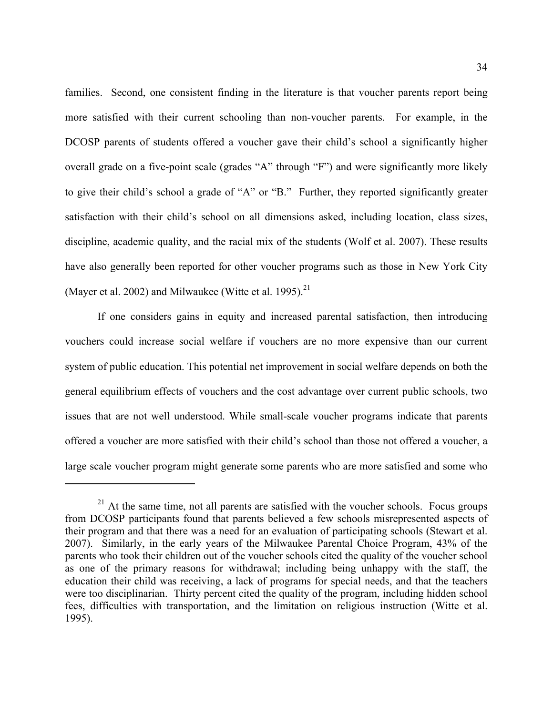families. Second, one consistent finding in the literature is that voucher parents report being more satisfied with their current schooling than non-voucher parents. For example, in the DCOSP parents of students offered a voucher gave their child's school a significantly higher overall grade on a five-point scale (grades "A" through "F") and were significantly more likely to give their child's school a grade of "A" or "B." Further, they reported significantly greater satisfaction with their child's school on all dimensions asked, including location, class sizes, discipline, academic quality, and the racial mix of the students (Wolf et al. 2007). These results have also generally been reported for other voucher programs such as those in New York City (Mayer et al. 2002) and Milwaukee (Witte et al. 1995). $^{21}$ 

If one considers gains in equity and increased parental satisfaction, then introducing vouchers could increase social welfare if vouchers are no more expensive than our current system of public education. This potential net improvement in social welfare depends on both the general equilibrium effects of vouchers and the cost advantage over current public schools, two issues that are not well understood. While small-scale voucher programs indicate that parents offered a voucher are more satisfied with their child's school than those not offered a voucher, a large scale voucher program might generate some parents who are more satisfied and some who

 $21$  At the same time, not all parents are satisfied with the voucher schools. Focus groups from DCOSP participants found that parents believed a few schools misrepresented aspects of their program and that there was a need for an evaluation of participating schools (Stewart et al. 2007). Similarly, in the early years of the Milwaukee Parental Choice Program, 43% of the parents who took their children out of the voucher schools cited the quality of the voucher school as one of the primary reasons for withdrawal; including being unhappy with the staff, the education their child was receiving, a lack of programs for special needs, and that the teachers were too disciplinarian. Thirty percent cited the quality of the program, including hidden school fees, difficulties with transportation, and the limitation on religious instruction (Witte et al. 1995).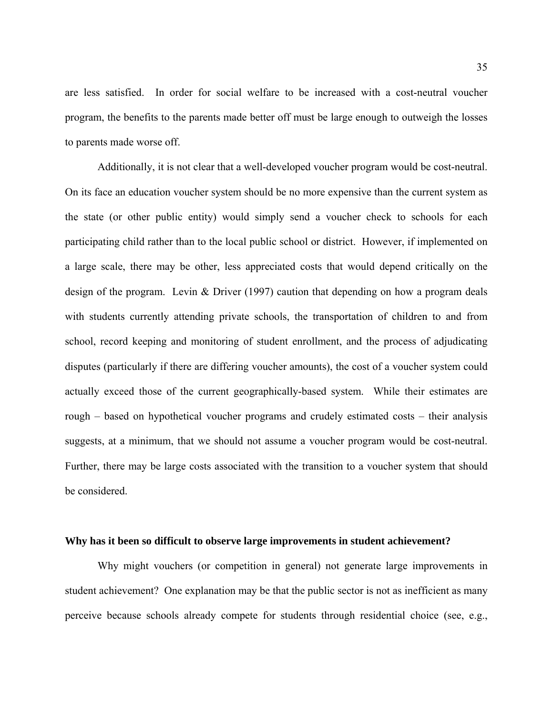are less satisfied. In order for social welfare to be increased with a cost-neutral voucher program, the benefits to the parents made better off must be large enough to outweigh the losses to parents made worse off.

Additionally, it is not clear that a well-developed voucher program would be cost-neutral. On its face an education voucher system should be no more expensive than the current system as the state (or other public entity) would simply send a voucher check to schools for each participating child rather than to the local public school or district. However, if implemented on a large scale, there may be other, less appreciated costs that would depend critically on the design of the program. Levin & Driver (1997) caution that depending on how a program deals with students currently attending private schools, the transportation of children to and from school, record keeping and monitoring of student enrollment, and the process of adjudicating disputes (particularly if there are differing voucher amounts), the cost of a voucher system could actually exceed those of the current geographically-based system. While their estimates are rough – based on hypothetical voucher programs and crudely estimated costs – their analysis suggests, at a minimum, that we should not assume a voucher program would be cost-neutral. Further, there may be large costs associated with the transition to a voucher system that should be considered.

### **Why has it been so difficult to observe large improvements in student achievement?**

Why might vouchers (or competition in general) not generate large improvements in student achievement? One explanation may be that the public sector is not as inefficient as many perceive because schools already compete for students through residential choice (see, e.g.,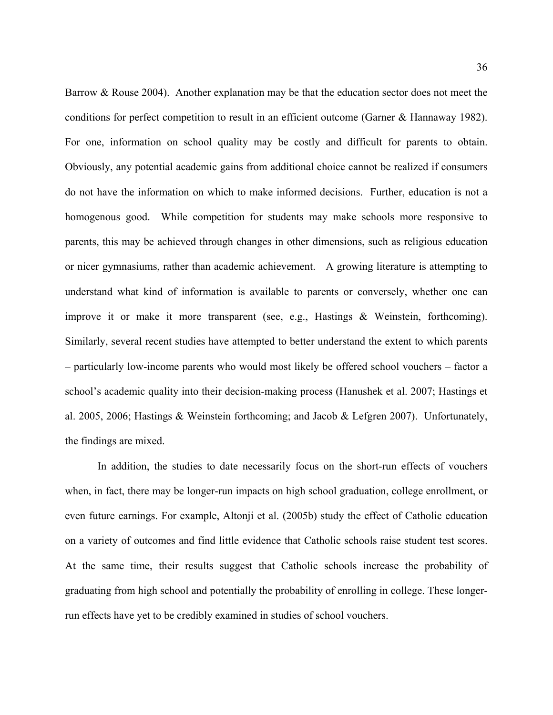Barrow & Rouse 2004). Another explanation may be that the education sector does not meet the conditions for perfect competition to result in an efficient outcome (Garner & Hannaway 1982). For one, information on school quality may be costly and difficult for parents to obtain. Obviously, any potential academic gains from additional choice cannot be realized if consumers do not have the information on which to make informed decisions. Further, education is not a homogenous good. While competition for students may make schools more responsive to parents, this may be achieved through changes in other dimensions, such as religious education or nicer gymnasiums, rather than academic achievement. A growing literature is attempting to understand what kind of information is available to parents or conversely, whether one can improve it or make it more transparent (see, e.g., Hastings & Weinstein, forthcoming). Similarly, several recent studies have attempted to better understand the extent to which parents – particularly low-income parents who would most likely be offered school vouchers – factor a school's academic quality into their decision-making process (Hanushek et al. 2007; Hastings et al. 2005, 2006; Hastings & Weinstein forthcoming; and Jacob & Lefgren 2007). Unfortunately, the findings are mixed.

In addition, the studies to date necessarily focus on the short-run effects of vouchers when, in fact, there may be longer-run impacts on high school graduation, college enrollment, or even future earnings. For example, Altonji et al. (2005b) study the effect of Catholic education on a variety of outcomes and find little evidence that Catholic schools raise student test scores. At the same time, their results suggest that Catholic schools increase the probability of graduating from high school and potentially the probability of enrolling in college. These longerrun effects have yet to be credibly examined in studies of school vouchers.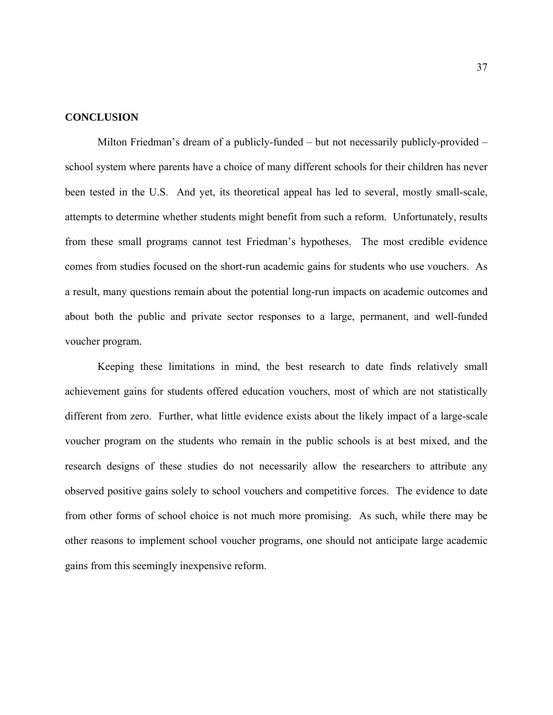### **CONCLUSION**

Milton Friedman's dream of a publicly-funded – but not necessarily publicly-provided – school system where parents have a choice of many different schools for their children has never been tested in the U.S. And yet, its theoretical appeal has led to several, mostly small-scale, attempts to determine whether students might benefit from such a reform. Unfortunately, results from these small programs cannot test Friedman's hypotheses. The most credible evidence comes from studies focused on the short-run academic gains for students who use vouchers. As a result, many questions remain about the potential long-run impacts on academic outcomes and about both the public and private sector responses to a large, permanent, and well-funded voucher program.

Keeping these limitations in mind, the best research to date finds relatively small achievement gains for students offered education vouchers, most of which are not statistically different from zero. Further, what little evidence exists about the likely impact of a large-scale voucher program on the students who remain in the public schools is at best mixed, and the research designs of these studies do not necessarily allow the researchers to attribute any observed positive gains solely to school vouchers and competitive forces. The evidence to date from other forms of school choice is not much more promising. As such, while there may be other reasons to implement school voucher programs, one should not anticipate large academic gains from this seemingly inexpensive reform.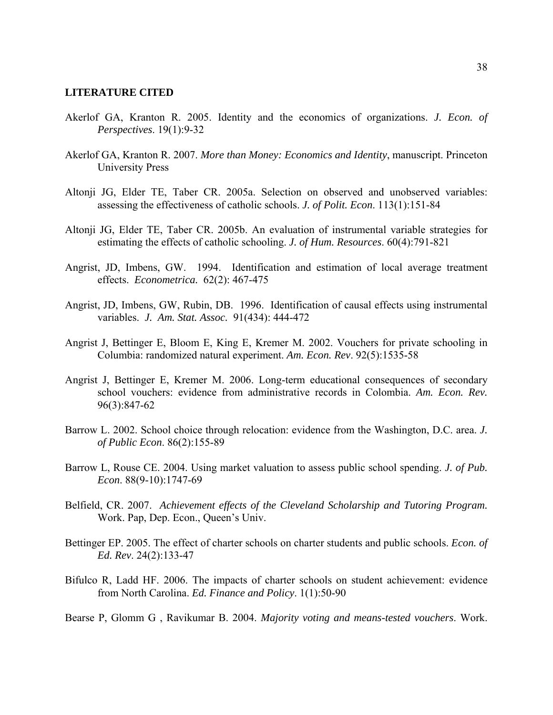### **LITERATURE CITED**

- Akerlof GA, Kranton R. 2005. Identity and the economics of organizations. *J. Econ. of Perspectives*. 19(1):9-32
- Akerlof GA, Kranton R. 2007. *More than Money: Economics and Identity*, manuscript. Princeton University Press
- Altonji JG, Elder TE, Taber CR. 2005a. Selection on observed and unobserved variables: assessing the effectiveness of catholic schools. *J. of Polit. Econ*. 113(1):151-84
- Altonji JG, Elder TE, Taber CR. 2005b. An evaluation of instrumental variable strategies for estimating the effects of catholic schooling. *J. of Hum. Resources*. 60(4):791-821
- Angrist, JD, Imbens, GW. 1994. Identification and estimation of local average treatment effects. *Econometrica.* 62(2): 467-475
- Angrist, JD, Imbens, GW, Rubin, DB. 1996. Identification of causal effects using instrumental variables. *J. Am. Stat. Assoc.* 91(434): 444-472
- Angrist J, Bettinger E, Bloom E, King E, Kremer M. 2002. Vouchers for private schooling in Columbia: randomized natural experiment. *Am. Econ. Rev*. 92(5):1535-58
- Angrist J, Bettinger E, Kremer M. 2006. Long-term educational consequences of secondary school vouchers: evidence from administrative records in Colombia. *Am. Econ. Rev.* 96(3):847-62
- Barrow L. 2002. School choice through relocation: evidence from the Washington, D.C. area. *J. of Public Econ*. 86(2):155-89
- Barrow L, Rouse CE. 2004. Using market valuation to assess public school spending. *J. of Pub. Econ*. 88(9-10):1747-69
- Belfield, CR. 2007. *Achievement effects of the Cleveland Scholarship and Tutoring Program.* Work. Pap, Dep. Econ., Queen's Univ.
- Bettinger EP. 2005. The effect of charter schools on charter students and public schools. *Econ. of Ed. Rev*. 24(2):133-47
- Bifulco R, Ladd HF. 2006. The impacts of charter schools on student achievement: evidence from North Carolina. *Ed. Finance and Policy*. 1(1):50-90

Bearse P, Glomm G , Ravikumar B. 2004. *Majority voting and means-tested vouchers*. Work.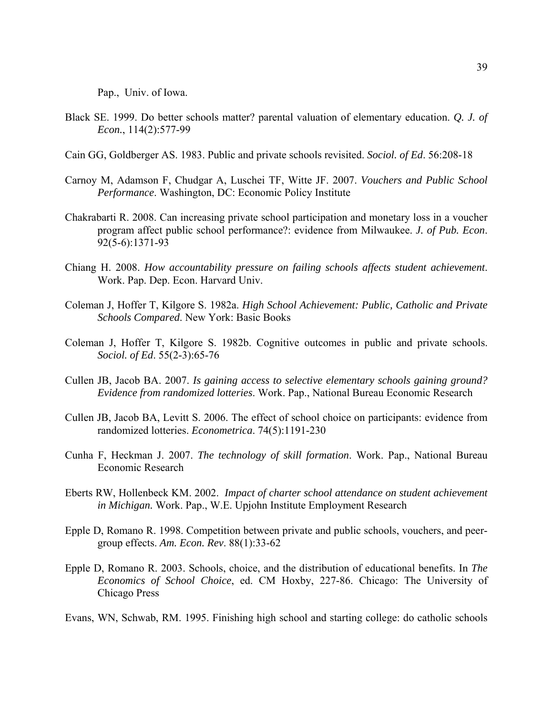Pap., Univ. of Iowa.

- Black SE. 1999. Do better schools matter? parental valuation of elementary education. *Q. J. of Econ.*, 114(2):577-99
- Cain GG, Goldberger AS. 1983. Public and private schools revisited. *Sociol. of Ed*. 56:208-18
- Carnoy M, Adamson F, Chudgar A, Luschei TF, Witte JF. 2007. *Vouchers and Public School Performance*. Washington, DC: Economic Policy Institute
- Chakrabarti R. 2008. Can increasing private school participation and monetary loss in a voucher program affect public school performance?: evidence from Milwaukee. *J. of Pub. Econ*. 92(5-6):1371-93
- Chiang H. 2008. *How accountability pressure on failing schools affects student achievement*. Work. Pap. Dep. Econ. Harvard Univ.
- Coleman J, Hoffer T, Kilgore S. 1982a. *High School Achievement: Public, Catholic and Private Schools Compared*. New York: Basic Books
- Coleman J, Hoffer T, Kilgore S. 1982b. Cognitive outcomes in public and private schools. *Sociol. of Ed*. 55(2-3):65-76
- Cullen JB, Jacob BA. 2007. *Is gaining access to selective elementary schools gaining ground? Evidence from randomized lotteries*. Work. Pap., National Bureau Economic Research
- Cullen JB, Jacob BA, Levitt S. 2006. The effect of school choice on participants: evidence from randomized lotteries. *Econometrica*. 74(5):1191-230
- Cunha F, Heckman J. 2007. *The technology of skill formation*. Work. Pap., National Bureau Economic Research
- Eberts RW, Hollenbeck KM. 2002. *Impact of charter school attendance on student achievement in Michigan.* Work. Pap., W.E. Upjohn Institute Employment Research
- Epple D, Romano R. 1998. Competition between private and public schools, vouchers, and peergroup effects. *Am. Econ. Rev*. 88(1):33-62
- Epple D, Romano R. 2003. Schools, choice, and the distribution of educational benefits. In *The Economics of School Choice*, ed. CM Hoxby, 227-86. Chicago: The University of Chicago Press
- Evans, WN, Schwab, RM. 1995. Finishing high school and starting college: do catholic schools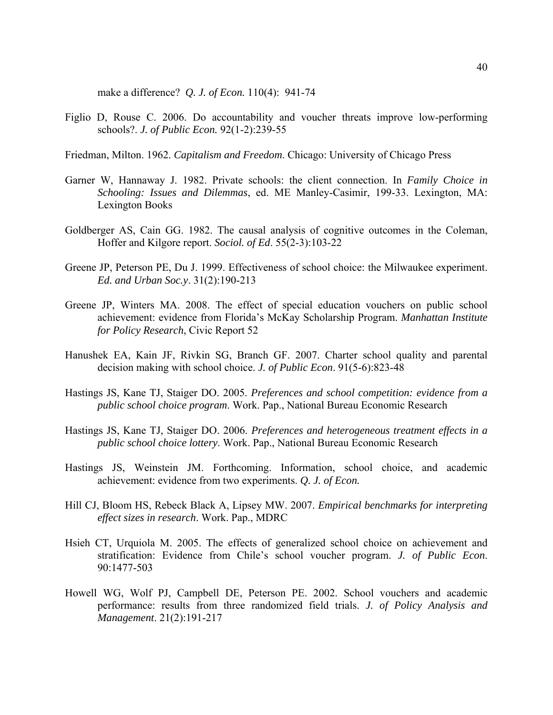make a difference? *Q. J. of Econ.* 110(4): 941-74

Figlio D, Rouse C. 2006. Do accountability and voucher threats improve low-performing schools?. *J. of Public Econ.* 92(1-2):239-55

Friedman, Milton. 1962. *Capitalism and Freedom*. Chicago: University of Chicago Press

- Garner W, Hannaway J. 1982. Private schools: the client connection. In *Family Choice in Schooling: Issues and Dilemmas*, ed. ME Manley-Casimir, 199-33. Lexington, MA: Lexington Books
- Goldberger AS, Cain GG. 1982. The causal analysis of cognitive outcomes in the Coleman, Hoffer and Kilgore report. *Sociol. of Ed*. 55(2-3):103-22
- Greene JP, Peterson PE, Du J. 1999. Effectiveness of school choice: the Milwaukee experiment. *Ed. and Urban Soc.y*. 31(2):190-213
- Greene JP, Winters MA. 2008. The effect of special education vouchers on public school achievement: evidence from Florida's McKay Scholarship Program. *Manhattan Institute for Policy Research*, Civic Report 52
- Hanushek EA, Kain JF, Rivkin SG, Branch GF. 2007. Charter school quality and parental decision making with school choice. *J. of Public Econ*. 91(5-6):823-48
- Hastings JS, Kane TJ, Staiger DO. 2005. *Preferences and school competition: evidence from a public school choice program*. Work. Pap., National Bureau Economic Research
- Hastings JS, Kane TJ, Staiger DO. 2006. *Preferences and heterogeneous treatment effects in a public school choice lottery*. Work. Pap., National Bureau Economic Research
- Hastings JS, Weinstein JM. Forthcoming. Information, school choice, and academic achievement: evidence from two experiments. *Q. J. of Econ.*
- Hill CJ, Bloom HS, Rebeck Black A, Lipsey MW. 2007. *Empirical benchmarks for interpreting effect sizes in research*. Work. Pap., MDRC
- Hsieh CT, Urquiola M. 2005. The effects of generalized school choice on achievement and stratification: Evidence from Chile's school voucher program. *J. of Public Econ*. 90:1477-503
- Howell WG, Wolf PJ, Campbell DE, Peterson PE. 2002. School vouchers and academic performance: results from three randomized field trials. *J. of Policy Analysis and Management*. 21(2):191-217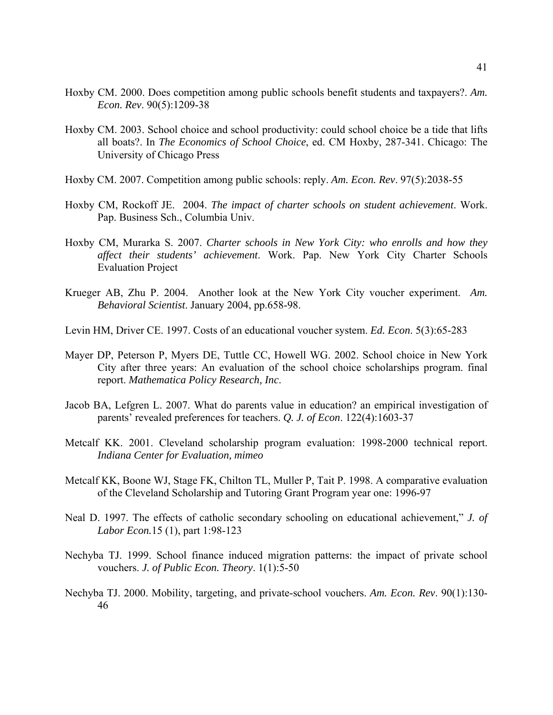- Hoxby CM. 2000. Does competition among public schools benefit students and taxpayers?. *Am. Econ. Rev*. 90(5):1209-38
- Hoxby CM. 2003. School choice and school productivity: could school choice be a tide that lifts all boats?. In *The Economics of School Choice*, ed. CM Hoxby, 287-341. Chicago: The University of Chicago Press
- Hoxby CM. 2007. Competition among public schools: reply. *Am. Econ. Rev*. 97(5):2038-55
- Hoxby CM, Rockoff JE. 2004. *The impact of charter schools on student achievement*. Work. Pap. Business Sch., Columbia Univ.
- Hoxby CM, Murarka S. 2007. *Charter schools in New York City: who enrolls and how they affect their students' achievement*. Work. Pap. New York City Charter Schools Evaluation Project
- Krueger AB, Zhu P. 2004. Another look at the New York City voucher experiment. *Am. Behavioral Scientist*. January 2004, pp.658-98.
- Levin HM, Driver CE. 1997. Costs of an educational voucher system. *Ed. Econ*. 5(3):65-283
- Mayer DP, Peterson P, Myers DE, Tuttle CC, Howell WG. 2002. School choice in New York City after three years: An evaluation of the school choice scholarships program. final report. *Mathematica Policy Research, Inc*.
- Jacob BA, Lefgren L. 2007. What do parents value in education? an empirical investigation of parents' revealed preferences for teachers. *Q. J. of Econ*. 122(4):1603-37
- Metcalf KK. 2001. Cleveland scholarship program evaluation: 1998-2000 technical report. *Indiana Center for Evaluation, mimeo*
- Metcalf KK, Boone WJ, Stage FK, Chilton TL, Muller P, Tait P. 1998. A comparative evaluation of the Cleveland Scholarship and Tutoring Grant Program year one: 1996-97
- Neal D. 1997. The effects of catholic secondary schooling on educational achievement," *J. of Labor Econ.*15 (1), part 1:98-123
- Nechyba TJ. 1999. School finance induced migration patterns: the impact of private school vouchers. *J. of Public Econ. Theory*. 1(1):5-50
- Nechyba TJ. 2000. Mobility, targeting, and private-school vouchers. *Am. Econ. Rev*. 90(1):130- 46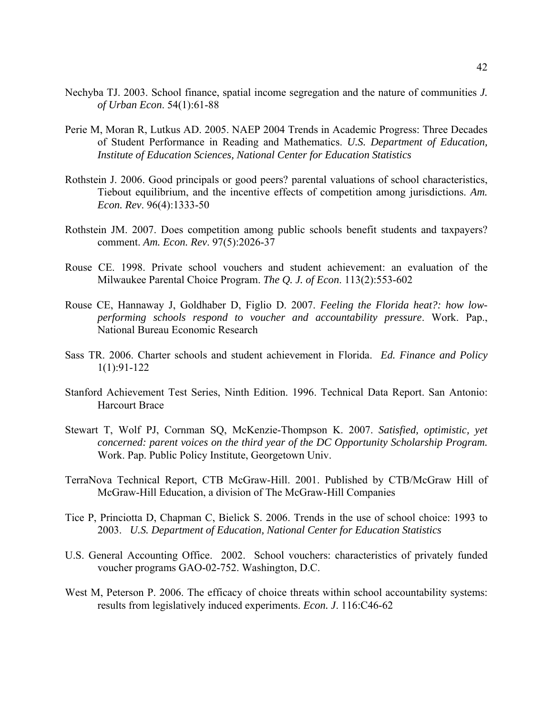- Nechyba TJ. 2003. School finance, spatial income segregation and the nature of communities *J. of Urban Econ*. 54(1):61-88
- Perie M, Moran R, Lutkus AD. 2005. NAEP 2004 Trends in Academic Progress: Three Decades of Student Performance in Reading and Mathematics. *U.S. Department of Education, Institute of Education Sciences, National Center for Education Statistics*
- Rothstein J. 2006. Good principals or good peers? parental valuations of school characteristics, Tiebout equilibrium, and the incentive effects of competition among jurisdictions. *Am. Econ. Rev*. 96(4):1333-50
- Rothstein JM. 2007. Does competition among public schools benefit students and taxpayers? comment. *Am. Econ. Rev*. 97(5):2026-37
- Rouse CE. 1998. Private school vouchers and student achievement: an evaluation of the Milwaukee Parental Choice Program. *The Q. J. of Econ*. 113(2):553-602
- Rouse CE, Hannaway J, Goldhaber D, Figlio D. 2007. *Feeling the Florida heat?: how lowperforming schools respond to voucher and accountability pressure*. Work. Pap., National Bureau Economic Research
- Sass TR. 2006. Charter schools and student achievement in Florida. *Ed. Finance and Policy* 1(1):91-122
- Stanford Achievement Test Series, Ninth Edition. 1996. Technical Data Report. San Antonio: Harcourt Brace
- Stewart T, Wolf PJ, Cornman SQ, McKenzie-Thompson K. 2007. *Satisfied, optimistic, yet concerned: parent voices on the third year of the DC Opportunity Scholarship Program.*  Work. Pap. Public Policy Institute, Georgetown Univ.
- TerraNova Technical Report, CTB McGraw-Hill. 2001. Published by CTB/McGraw Hill of McGraw-Hill Education, a division of The McGraw-Hill Companies
- Tice P, Princiotta D, Chapman C, Bielick S. 2006. Trends in the use of school choice: 1993 to 2003. *U.S. Department of Education, National Center for Education Statistics*
- U.S. General Accounting Office. 2002. School vouchers: characteristics of privately funded voucher programs GAO-02-752. Washington, D.C.
- West M, Peterson P. 2006. The efficacy of choice threats within school accountability systems: results from legislatively induced experiments. *Econ. J*. 116:C46-62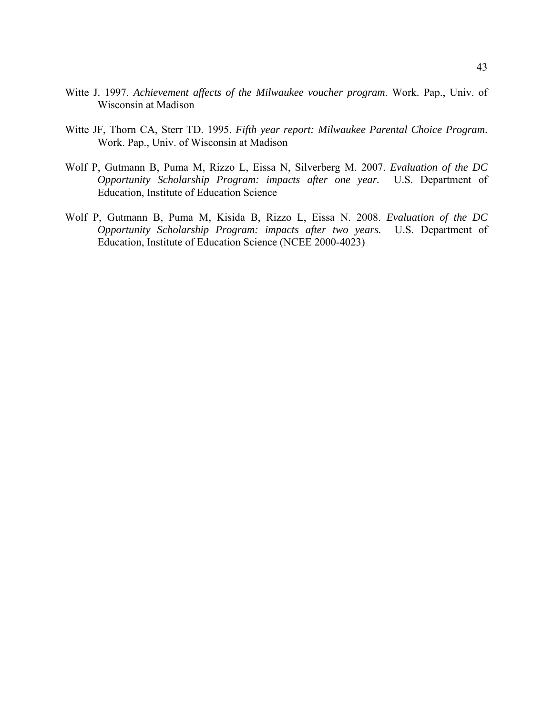- Witte J. 1997. *Achievement affects of the Milwaukee voucher program*. Work. Pap., Univ. of Wisconsin at Madison
- Witte JF, Thorn CA, Sterr TD. 1995. *Fifth year report: Milwaukee Parental Choice Program*. Work. Pap., Univ. of Wisconsin at Madison
- Wolf P, Gutmann B, Puma M, Rizzo L, Eissa N, Silverberg M. 2007. *Evaluation of the DC Opportunity Scholarship Program: impacts after one year.* U.S. Department of Education, Institute of Education Science
- Wolf P, Gutmann B, Puma M, Kisida B, Rizzo L, Eissa N. 2008. *Evaluation of the DC Opportunity Scholarship Program: impacts after two years.* U.S. Department of Education, Institute of Education Science (NCEE 2000-4023)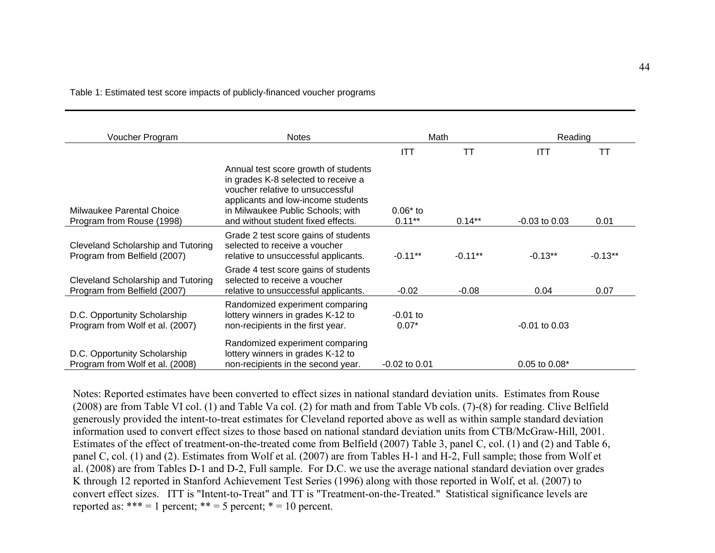| Voucher Program                                                    | <b>Notes</b>                                                                                                                                                                                                                     | Math                   |            | Reading           |           |
|--------------------------------------------------------------------|----------------------------------------------------------------------------------------------------------------------------------------------------------------------------------------------------------------------------------|------------------------|------------|-------------------|-----------|
|                                                                    |                                                                                                                                                                                                                                  | <b>ITT</b>             | <b>TT</b>  | ITT               | TТ        |
| Milwaukee Parental Choice<br>Program from Rouse (1998)             | Annual test score growth of students<br>in grades K-8 selected to receive a<br>voucher relative to unsuccessful<br>applicants and low-income students<br>in Milwaukee Public Schools; with<br>and without student fixed effects. | $0.06*$ to<br>$0.11**$ | $0.14**$   | $-0.03$ to $0.03$ | 0.01      |
| Cleveland Scholarship and Tutoring<br>Program from Belfield (2007) | Grade 2 test score gains of students<br>selected to receive a voucher<br>relative to unsuccessful applicants.                                                                                                                    | $-0.11***$             | $-0.11***$ | $-0.13**$         | $-0.13**$ |
| Cleveland Scholarship and Tutoring<br>Program from Belfield (2007) | Grade 4 test score gains of students<br>selected to receive a voucher<br>relative to unsuccessful applicants.                                                                                                                    | $-0.02$                | $-0.08$    | 0.04              | 0.07      |
| D.C. Opportunity Scholarship<br>Program from Wolf et al. (2007)    | Randomized experiment comparing<br>lottery winners in grades K-12 to<br>non-recipients in the first year.                                                                                                                        | $-0.01$ to<br>$0.07*$  |            | $-0.01$ to $0.03$ |           |
| D.C. Opportunity Scholarship<br>Program from Wolf et al. (2008)    | Randomized experiment comparing<br>lottery winners in grades K-12 to<br>non-recipients in the second year.                                                                                                                       | $-0.02$ to $0.01$      |            | $0.05$ to $0.08*$ |           |

Table 1: Estimated test score impacts of publicly-financed voucher programs

Notes: Reported estimates have been converted to effect sizes in national standard deviation units. Estimates from Rouse (2008) are from Table VI col. (1) and Table Va col. (2) for math and from Table Vb cols. (7)-(8) for reading. Clive Belfield generously provided the intent-to-treat estimates for Cleveland reported above as well as within sample standard deviation information used to convert effect sizes to those based on national standard deviation units from CTB/McGraw-Hill, 2001. Estimates of the effect of treatment-on-the-treated come from Belfield (2007) Table 3, panel C, col. (1) and (2) and Table 6, panel C, col. (1) and (2). Estimates from Wolf et al. (2007) are from Tables H-1 and H-2, Full sample; those from Wolf et al. (2008) are from Tables D-1 and D-2, Full sample. For D.C. we use the average national standard deviation over grades K through 12 reported in Stanford Achievement Test Series (1996) along with those reported in Wolf, et al. (2007) to convert effect sizes. ITT is "Intent-to-Treat" and TT is "Treatment-on-the-Treated." Statistical significance levels are reported as:  $*** = 1$  percent;  $** = 5$  percent;  $* = 10$  percent.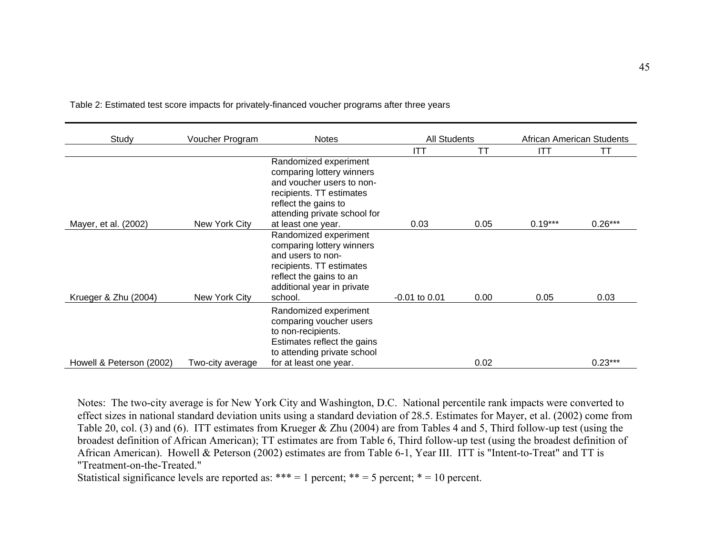| Study                    | Voucher Program  | <b>Notes</b>                                                                                                                                                            | <b>All Students</b> |      |            | African American Students |  |
|--------------------------|------------------|-------------------------------------------------------------------------------------------------------------------------------------------------------------------------|---------------------|------|------------|---------------------------|--|
|                          |                  |                                                                                                                                                                         | <b>ITT</b>          | TТ   | <b>ITT</b> | ТT                        |  |
|                          |                  | Randomized experiment<br>comparing lottery winners<br>and voucher users to non-<br>recipients. TT estimates<br>reflect the gains to<br>attending private school for     |                     |      |            |                           |  |
| Mayer, et al. (2002)     | New York City    | at least one year.                                                                                                                                                      | 0.03                | 0.05 | $0.19***$  | $0.26***$                 |  |
| Krueger & Zhu (2004)     | New York City    | Randomized experiment<br>comparing lottery winners<br>and users to non-<br>recipients. TT estimates<br>reflect the gains to an<br>additional year in private<br>school. | $-0.01$ to $0.01$   | 0.00 | 0.05       | 0.03                      |  |
|                          |                  | Randomized experiment<br>comparing voucher users<br>to non-recipients.<br>Estimates reflect the gains<br>to attending private school                                    |                     |      |            |                           |  |
| Howell & Peterson (2002) | Two-city average | for at least one year.                                                                                                                                                  |                     | 0.02 |            | $0.23***$                 |  |

Table 2: Estimated test score impacts for privately-financed voucher programs after three years

Notes: The two-city average is for New York City and Washington, D.C. National percentile rank impacts were converted to effect sizes in national standard deviation units using a standard deviation of 28.5. Estimates for Mayer, et al. (2002) come from Table 20, col. (3) and (6). ITT estimates from Krueger & Zhu (2004) are from Tables 4 and 5, Third follow-up test (using the broadest definition of African American); TT estimates are from Table 6, Third follow-up test (using the broadest definition of African American). Howell & Peterson (2002) estimates are from Table 6-1, Year III. ITT is "Intent-to-Treat" and TT is "Treatment-on-the-Treated."

Statistical significance levels are reported as: \*\*\* = 1 percent; \*\* = 5 percent; \* = 10 percent.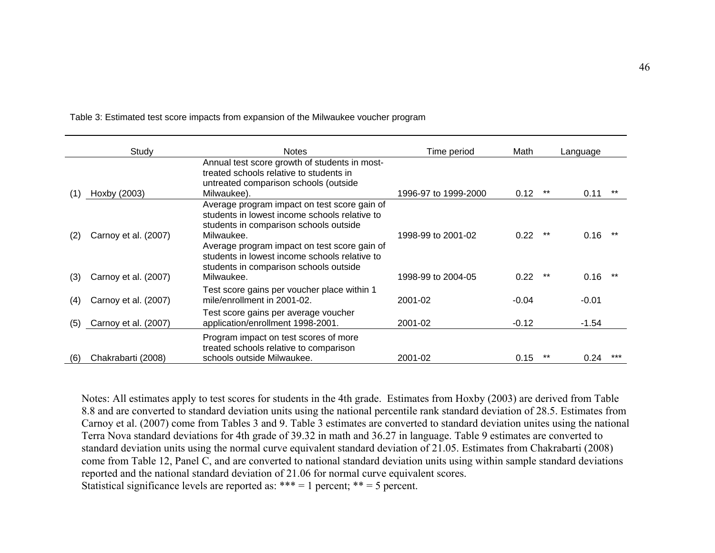|     | Study                | <b>Notes</b>                                                                                                                                                                                          | Time period          | Math    | Language    |
|-----|----------------------|-------------------------------------------------------------------------------------------------------------------------------------------------------------------------------------------------------|----------------------|---------|-------------|
|     |                      | Annual test score growth of students in most-<br>treated schools relative to students in<br>untreated comparison schools (outside                                                                     |                      |         |             |
| (1) | Hoxby (2003)         | Milwaukee).                                                                                                                                                                                           | 1996-97 to 1999-2000 | 0.12    | 0.11        |
|     | Carnoy et al. (2007) | Average program impact on test score gain of<br>students in lowest income schools relative to<br>students in comparison schools outside<br>Milwaukee.<br>Average program impact on test score gain of | 1998-99 to 2001-02   | 0.22    | 0.16        |
| (3) | Carnoy et al. (2007) | students in lowest income schools relative to<br>students in comparison schools outside<br>Milwaukee.                                                                                                 | 1998-99 to 2004-05   | 0.22    | 0.16<br>**  |
| (4) | Carnoy et al. (2007) | Test score gains per voucher place within 1<br>mile/enrollment in 2001-02.                                                                                                                            | 2001-02              | $-0.04$ | $-0.01$     |
| (5) | Carnoy et al. (2007) | Test score gains per average voucher<br>application/enrollment 1998-2001.                                                                                                                             | 2001-02              | $-0.12$ | $-1.54$     |
| (6) | Chakrabarti (2008)   | Program impact on test scores of more<br>treated schools relative to comparison<br>schools outside Milwaukee.                                                                                         | 2001-02              | 0.15    | ***<br>0.24 |

Table 3: Estimated test score impacts from expansion of the Milwaukee voucher program

Notes: All estimates apply to test scores for students in the 4th grade. Estimates from Hoxby (2003) are derived from Table 8.8 and are converted to standard deviation units using the national percentile rank standard deviation of 28.5. Estimates from Carnoy et al. (2007) come from Tables 3 and 9. Table 3 estimates are converted to standard deviation unites using the national Terra Nova standard deviations for 4th grade of 39.32 in math and 36.27 in language. Table 9 estimates are converted to standard deviation units using the normal curve equivalent standard deviation of 21.05. Estimates from Chakrabarti (2008) come from Table 12, Panel C, and are converted to national standard deviation units using within sample standard deviations reported and the national standard deviation of 21.06 for normal curve equivalent scores. Statistical significance levels are reported as:  $*** = 1$  percent;  $** = 5$  percent.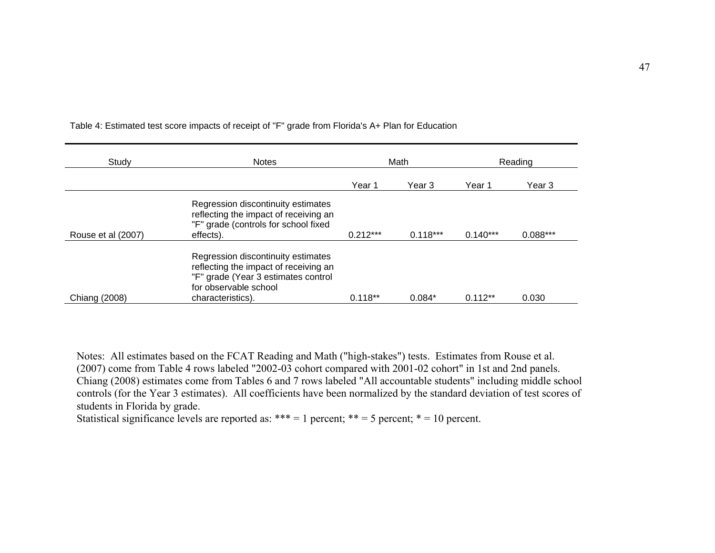| Study                | <b>Notes</b>                                                                                                                                                     | Math       |            | Reading    |            |
|----------------------|------------------------------------------------------------------------------------------------------------------------------------------------------------------|------------|------------|------------|------------|
|                      |                                                                                                                                                                  | Year 1     | Year 3     | Year 1     | Year 3     |
| Rouse et al (2007)   | Regression discontinuity estimates<br>reflecting the impact of receiving an<br>"F" grade (controls for school fixed<br>effects).                                 | $0.212***$ | $0.118***$ | $0.140***$ | $0.088***$ |
| <b>Chiang (2008)</b> | Regression discontinuity estimates<br>reflecting the impact of receiving an<br>"F" grade (Year 3 estimates control<br>for observable school<br>characteristics). | $0.118**$  | $0.084*$   | $0.112**$  | 0.030      |

Table 4: Estimated test score impacts of receipt of "F" grade from Florida's A+ Plan for Education

Notes: All estimates based on the FCAT Reading and Math ("high-stakes") tests. Estimates from Rouse et al. (2007) come from Table 4 rows labeled "2002-03 cohort compared with 2001-02 cohort" in 1st and 2nd panels. Chiang (2008) estimates come from Tables 6 and 7 rows labeled "All accountable students" including middle school controls (for the Year 3 estimates). All coefficients have been normalized by the standard deviation of test scores of students in Florida by grade.

Statistical significance levels are reported as: \*\*\* = 1 percent; \*\* = 5 percent; \* = 10 percent.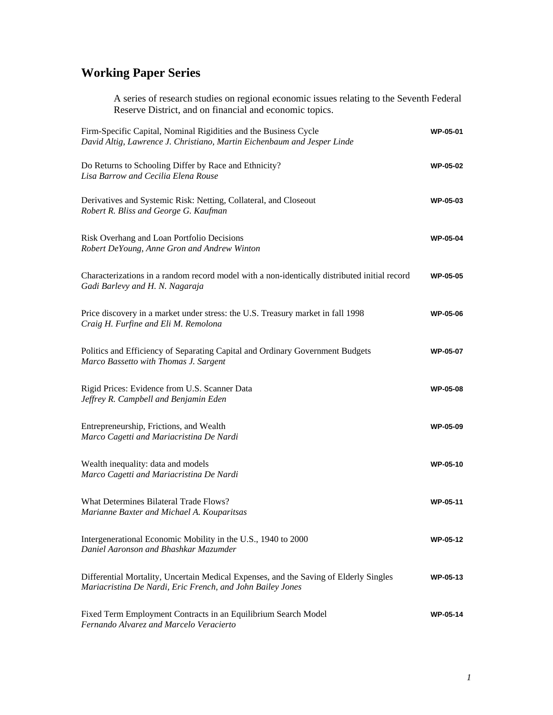# **Working Paper Series**

| Reserve District, and on financial and economic topics.                                                                                             |                 |
|-----------------------------------------------------------------------------------------------------------------------------------------------------|-----------------|
| Firm-Specific Capital, Nominal Rigidities and the Business Cycle<br>David Altig, Lawrence J. Christiano, Martin Eichenbaum and Jesper Linde         | <b>WP-05-01</b> |
| Do Returns to Schooling Differ by Race and Ethnicity?<br>Lisa Barrow and Cecilia Elena Rouse                                                        | <b>WP-05-02</b> |
| Derivatives and Systemic Risk: Netting, Collateral, and Closeout<br>Robert R. Bliss and George G. Kaufman                                           | <b>WP-05-03</b> |
| Risk Overhang and Loan Portfolio Decisions<br>Robert DeYoung, Anne Gron and Andrew Winton                                                           | <b>WP-05-04</b> |
| Characterizations in a random record model with a non-identically distributed initial record<br>Gadi Barlevy and H. N. Nagaraja                     | <b>WP-05-05</b> |
| Price discovery in a market under stress: the U.S. Treasury market in fall 1998<br>Craig H. Furfine and Eli M. Remolona                             | <b>WP-05-06</b> |
| Politics and Efficiency of Separating Capital and Ordinary Government Budgets<br>Marco Bassetto with Thomas J. Sargent                              | <b>WP-05-07</b> |
| Rigid Prices: Evidence from U.S. Scanner Data<br>Jeffrey R. Campbell and Benjamin Eden                                                              | <b>WP-05-08</b> |
| Entrepreneurship, Frictions, and Wealth<br>Marco Cagetti and Mariacristina De Nardi                                                                 | <b>WP-05-09</b> |
| Wealth inequality: data and models<br>Marco Cagetti and Mariacristina De Nardi                                                                      | <b>WP-05-10</b> |
| What Determines Bilateral Trade Flows?<br>Marianne Baxter and Michael A. Kouparitsas                                                                | <b>WP-05-11</b> |
| Intergenerational Economic Mobility in the U.S., 1940 to 2000<br>Daniel Aaronson and Bhashkar Mazumder                                              | WP-05-12        |
| Differential Mortality, Uncertain Medical Expenses, and the Saving of Elderly Singles<br>Mariacristina De Nardi, Eric French, and John Bailey Jones | <b>WP-05-13</b> |
| Fixed Term Employment Contracts in an Equilibrium Search Model<br>Fernando Alvarez and Marcelo Veracierto                                           | <b>WP-05-14</b> |

A series of research studies on regional economic issues relating to the Seventh Federal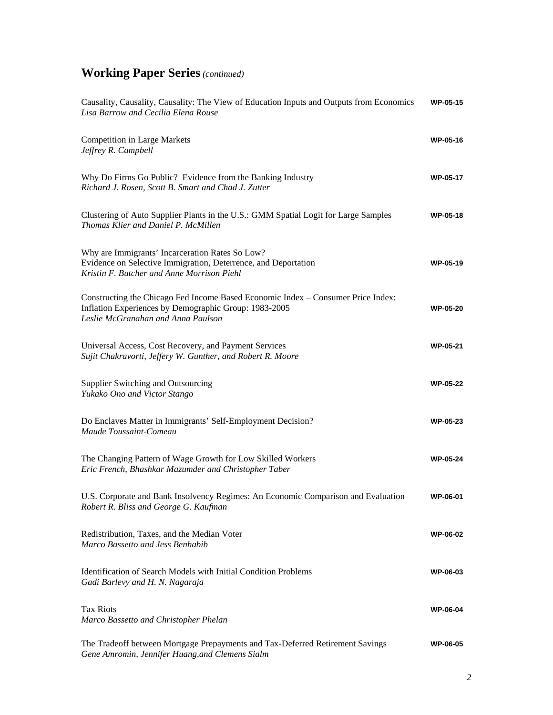| Causality, Causality, Causality: The View of Education Inputs and Outputs from Economics<br>Lisa Barrow and Cecilia Elena Rouse                                                 | <b>WP-05-15</b> |
|---------------------------------------------------------------------------------------------------------------------------------------------------------------------------------|-----------------|
| <b>Competition in Large Markets</b><br>Jeffrey R. Campbell                                                                                                                      | <b>WP-05-16</b> |
| Why Do Firms Go Public? Evidence from the Banking Industry<br>Richard J. Rosen, Scott B. Smart and Chad J. Zutter                                                               | <b>WP-05-17</b> |
| Clustering of Auto Supplier Plants in the U.S.: GMM Spatial Logit for Large Samples<br>Thomas Klier and Daniel P. McMillen                                                      | <b>WP-05-18</b> |
| Why are Immigrants' Incarceration Rates So Low?<br>Evidence on Selective Immigration, Deterrence, and Deportation<br>Kristin F. Butcher and Anne Morrison Piehl                 | <b>WP-05-19</b> |
| Constructing the Chicago Fed Income Based Economic Index – Consumer Price Index:<br>Inflation Experiences by Demographic Group: 1983-2005<br>Leslie McGranahan and Anna Paulson | <b>WP-05-20</b> |
| Universal Access, Cost Recovery, and Payment Services<br>Sujit Chakravorti, Jeffery W. Gunther, and Robert R. Moore                                                             | <b>WP-05-21</b> |
| Supplier Switching and Outsourcing<br>Yukako Ono and Victor Stango                                                                                                              | <b>WP-05-22</b> |
| Do Enclaves Matter in Immigrants' Self-Employment Decision?<br>Maude Toussaint-Comeau                                                                                           | <b>WP-05-23</b> |
| The Changing Pattern of Wage Growth for Low Skilled Workers<br>Eric French, Bhashkar Mazumder and Christopher Taber                                                             | <b>WP-05-24</b> |
| U.S. Corporate and Bank Insolvency Regimes: An Economic Comparison and Evaluation<br>Robert R. Bliss and George G. Kaufman                                                      | <b>WP-06-01</b> |
| Redistribution, Taxes, and the Median Voter<br>Marco Bassetto and Jess Benhabib                                                                                                 | <b>WP-06-02</b> |
| <b>Identification of Search Models with Initial Condition Problems</b><br>Gadi Barlevy and H. N. Nagaraja                                                                       | <b>WP-06-03</b> |
| <b>Tax Riots</b><br>Marco Bassetto and Christopher Phelan                                                                                                                       | <b>WP-06-04</b> |
| The Tradeoff between Mortgage Prepayments and Tax-Deferred Retirement Savings<br>Gene Amromin, Jennifer Huang, and Clemens Sialm                                                | <b>WP-06-05</b> |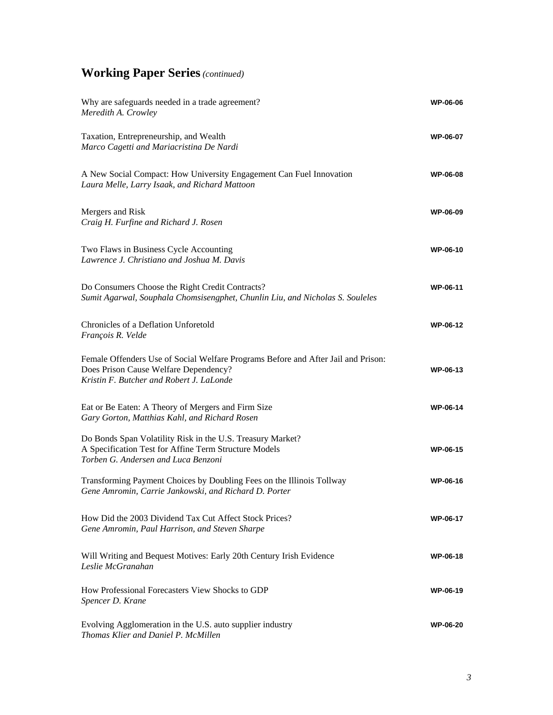| Why are safeguards needed in a trade agreement?<br>Meredith A. Crowley                                                                                                 | <b>WP-06-06</b> |  |
|------------------------------------------------------------------------------------------------------------------------------------------------------------------------|-----------------|--|
| Taxation, Entrepreneurship, and Wealth<br>Marco Cagetti and Mariacristina De Nardi                                                                                     | <b>WP-06-07</b> |  |
| A New Social Compact: How University Engagement Can Fuel Innovation<br>Laura Melle, Larry Isaak, and Richard Mattoon                                                   | WP-06-08        |  |
| Mergers and Risk<br>Craig H. Furfine and Richard J. Rosen                                                                                                              | WP-06-09        |  |
| Two Flaws in Business Cycle Accounting<br>Lawrence J. Christiano and Joshua M. Davis                                                                                   | <b>WP-06-10</b> |  |
| Do Consumers Choose the Right Credit Contracts?<br>Sumit Agarwal, Souphala Chomsisengphet, Chunlin Liu, and Nicholas S. Souleles                                       | WP-06-11        |  |
| Chronicles of a Deflation Unforetold<br>François R. Velde                                                                                                              | WP-06-12        |  |
| Female Offenders Use of Social Welfare Programs Before and After Jail and Prison:<br>Does Prison Cause Welfare Dependency?<br>Kristin F. Butcher and Robert J. LaLonde | WP-06-13        |  |
| Eat or Be Eaten: A Theory of Mergers and Firm Size<br>Gary Gorton, Matthias Kahl, and Richard Rosen                                                                    | <b>WP-06-14</b> |  |
| Do Bonds Span Volatility Risk in the U.S. Treasury Market?<br>A Specification Test for Affine Term Structure Models<br>Torben G. Andersen and Luca Benzoni             | WP-06-15        |  |
| Transforming Payment Choices by Doubling Fees on the Illinois Tollway<br>Gene Amromin, Carrie Jankowski, and Richard D. Porter                                         | <b>WP-06-16</b> |  |
| How Did the 2003 Dividend Tax Cut Affect Stock Prices?<br>Gene Amromin, Paul Harrison, and Steven Sharpe                                                               | <b>WP-06-17</b> |  |
| Will Writing and Bequest Motives: Early 20th Century Irish Evidence<br>Leslie McGranahan                                                                               | WP-06-18        |  |
| How Professional Forecasters View Shocks to GDP<br>Spencer D. Krane                                                                                                    | WP-06-19        |  |
| Evolving Agglomeration in the U.S. auto supplier industry<br>Thomas Klier and Daniel P. McMillen                                                                       | <b>WP-06-20</b> |  |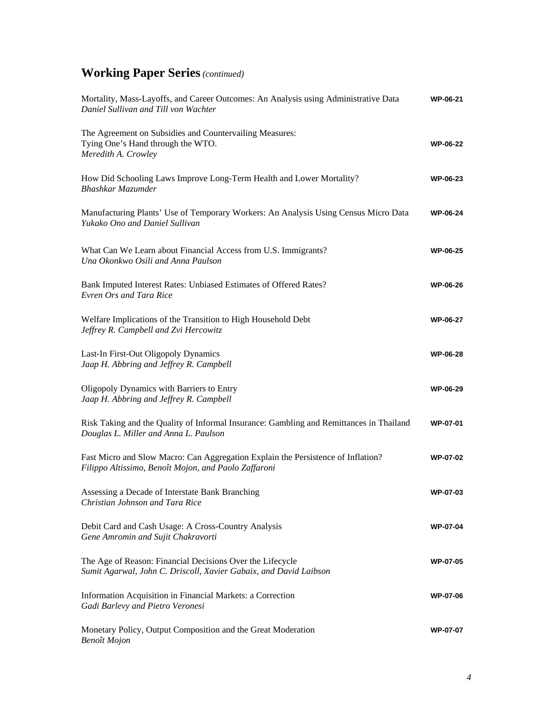| Mortality, Mass-Layoffs, and Career Outcomes: An Analysis using Administrative Data<br>Daniel Sullivan and Till von Wachter              | <b>WP-06-21</b> |
|------------------------------------------------------------------------------------------------------------------------------------------|-----------------|
| The Agreement on Subsidies and Countervailing Measures:<br>Tying One's Hand through the WTO.<br>Meredith A. Crowley                      | <b>WP-06-22</b> |
| How Did Schooling Laws Improve Long-Term Health and Lower Mortality?<br><b>Bhashkar Mazumder</b>                                         | <b>WP-06-23</b> |
| Manufacturing Plants' Use of Temporary Workers: An Analysis Using Census Micro Data<br>Yukako Ono and Daniel Sullivan                    | <b>WP-06-24</b> |
| What Can We Learn about Financial Access from U.S. Immigrants?<br>Una Okonkwo Osili and Anna Paulson                                     | <b>WP-06-25</b> |
| Bank Imputed Interest Rates: Unbiased Estimates of Offered Rates?<br>Evren Ors and Tara Rice                                             | WP-06-26        |
| Welfare Implications of the Transition to High Household Debt<br>Jeffrey R. Campbell and Zvi Hercowitz                                   | WP-06-27        |
| Last-In First-Out Oligopoly Dynamics<br>Jaap H. Abbring and Jeffrey R. Campbell                                                          | <b>WP-06-28</b> |
| Oligopoly Dynamics with Barriers to Entry<br>Jaap H. Abbring and Jeffrey R. Campbell                                                     | <b>WP-06-29</b> |
| Risk Taking and the Quality of Informal Insurance: Gambling and Remittances in Thailand<br>Douglas L. Miller and Anna L. Paulson         | <b>WP-07-01</b> |
| Fast Micro and Slow Macro: Can Aggregation Explain the Persistence of Inflation?<br>Filippo Altissimo, Benoît Mojon, and Paolo Zaffaroni | <b>WP-07-02</b> |
| Assessing a Decade of Interstate Bank Branching<br>Christian Johnson and Tara Rice                                                       | <b>WP-07-03</b> |
| Debit Card and Cash Usage: A Cross-Country Analysis<br>Gene Amromin and Sujit Chakravorti                                                | <b>WP-07-04</b> |
| The Age of Reason: Financial Decisions Over the Lifecycle<br>Sumit Agarwal, John C. Driscoll, Xavier Gabaix, and David Laibson           | <b>WP-07-05</b> |
| Information Acquisition in Financial Markets: a Correction<br>Gadi Barlevy and Pietro Veronesi                                           | <b>WP-07-06</b> |
| Monetary Policy, Output Composition and the Great Moderation<br>Benoît Mojon                                                             | <b>WP-07-07</b> |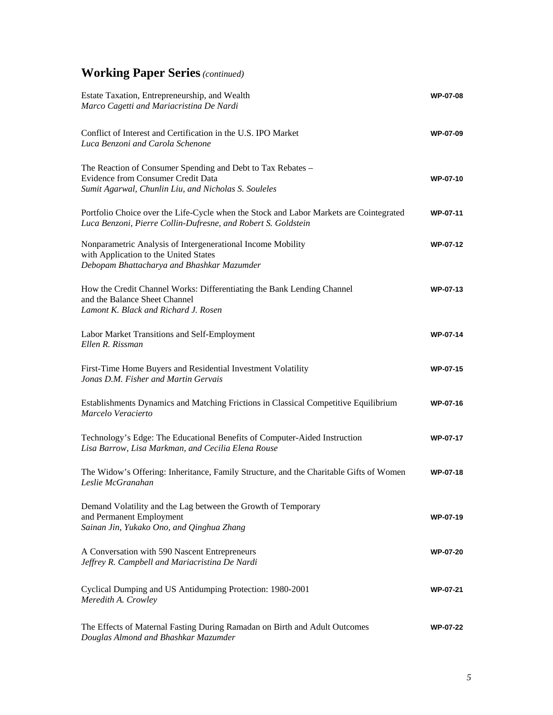| Estate Taxation, Entrepreneurship, and Wealth<br>Marco Cagetti and Mariacristina De Nardi                                                                 | <b>WP-07-08</b> |
|-----------------------------------------------------------------------------------------------------------------------------------------------------------|-----------------|
| Conflict of Interest and Certification in the U.S. IPO Market<br>Luca Benzoni and Carola Schenone                                                         | <b>WP-07-09</b> |
| The Reaction of Consumer Spending and Debt to Tax Rebates –<br>Evidence from Consumer Credit Data<br>Sumit Agarwal, Chunlin Liu, and Nicholas S. Souleles | <b>WP-07-10</b> |
| Portfolio Choice over the Life-Cycle when the Stock and Labor Markets are Cointegrated<br>Luca Benzoni, Pierre Collin-Dufresne, and Robert S. Goldstein   | WP-07-11        |
| Nonparametric Analysis of Intergenerational Income Mobility<br>with Application to the United States<br>Debopam Bhattacharya and Bhashkar Mazumder        | WP-07-12        |
| How the Credit Channel Works: Differentiating the Bank Lending Channel<br>and the Balance Sheet Channel<br>Lamont K. Black and Richard J. Rosen           | <b>WP-07-13</b> |
| Labor Market Transitions and Self-Employment<br>Ellen R. Rissman                                                                                          | WP-07-14        |
| First-Time Home Buyers and Residential Investment Volatility<br>Jonas D.M. Fisher and Martin Gervais                                                      | <b>WP-07-15</b> |
| Establishments Dynamics and Matching Frictions in Classical Competitive Equilibrium<br>Marcelo Veracierto                                                 | <b>WP-07-16</b> |
| Technology's Edge: The Educational Benefits of Computer-Aided Instruction<br>Lisa Barrow, Lisa Markman, and Cecilia Elena Rouse                           | <b>WP-07-17</b> |
| The Widow's Offering: Inheritance, Family Structure, and the Charitable Gifts of Women<br>Leslie McGranahan                                               | <b>WP-07-18</b> |
| Demand Volatility and the Lag between the Growth of Temporary<br>and Permanent Employment<br>Sainan Jin, Yukako Ono, and Qinghua Zhang                    | <b>WP-07-19</b> |
| A Conversation with 590 Nascent Entrepreneurs<br>Jeffrey R. Campbell and Mariacristina De Nardi                                                           | <b>WP-07-20</b> |
| Cyclical Dumping and US Antidumping Protection: 1980-2001<br>Meredith A. Crowley                                                                          | <b>WP-07-21</b> |
| The Effects of Maternal Fasting During Ramadan on Birth and Adult Outcomes<br>Douglas Almond and Bhashkar Mazumder                                        | <b>WP-07-22</b> |